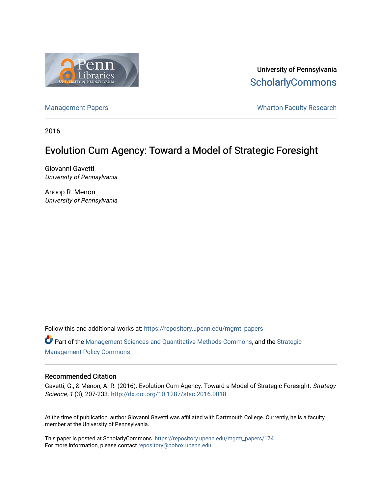

University of Pennsylvania **ScholarlyCommons** 

[Management Papers](https://repository.upenn.edu/mgmt_papers) **Management Papers** Wharton Faculty Research

2016

# Evolution Cum Agency: Toward a Model of Strategic Foresight

Giovanni Gavetti University of Pennsylvania

Anoop R. Menon University of Pennsylvania

Follow this and additional works at: [https://repository.upenn.edu/mgmt\\_papers](https://repository.upenn.edu/mgmt_papers?utm_source=repository.upenn.edu%2Fmgmt_papers%2F174&utm_medium=PDF&utm_campaign=PDFCoverPages) 

Part of the [Management Sciences and Quantitative Methods Commons](http://network.bepress.com/hgg/discipline/637?utm_source=repository.upenn.edu%2Fmgmt_papers%2F174&utm_medium=PDF&utm_campaign=PDFCoverPages), and the [Strategic](http://network.bepress.com/hgg/discipline/642?utm_source=repository.upenn.edu%2Fmgmt_papers%2F174&utm_medium=PDF&utm_campaign=PDFCoverPages)  [Management Policy Commons](http://network.bepress.com/hgg/discipline/642?utm_source=repository.upenn.edu%2Fmgmt_papers%2F174&utm_medium=PDF&utm_campaign=PDFCoverPages) 

# Recommended Citation

Gavetti, G., & Menon, A. R. (2016). Evolution Cum Agency: Toward a Model of Strategic Foresight. Strategy Science, 1 (3), 207-233. <http://dx.doi.org/10.1287/stsc.2016.0018>

At the time of publication, author Giovanni Gavetti was affiliated with Dartmouth College. Currently, he is a faculty member at the University of Pennsylvania.

This paper is posted at ScholarlyCommons. [https://repository.upenn.edu/mgmt\\_papers/174](https://repository.upenn.edu/mgmt_papers/174)  For more information, please contact [repository@pobox.upenn.edu.](mailto:repository@pobox.upenn.edu)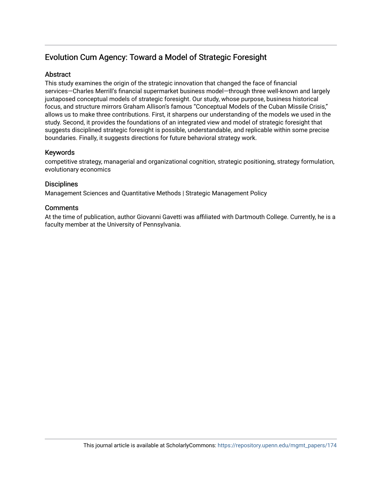# Evolution Cum Agency: Toward a Model of Strategic Foresight

# **Abstract**

This study examines the origin of the strategic innovation that changed the face of financial services—Charles Merrill's financial supermarket business model—through three well-known and largely juxtaposed conceptual models of strategic foresight. Our study, whose purpose, business historical focus, and structure mirrors Graham Allison's famous "Conceptual Models of the Cuban Missile Crisis," allows us to make three contributions. First, it sharpens our understanding of the models we used in the study. Second, it provides the foundations of an integrated view and model of strategic foresight that suggests disciplined strategic foresight is possible, understandable, and replicable within some precise boundaries. Finally, it suggests directions for future behavioral strategy work.

# Keywords

competitive strategy, managerial and organizational cognition, strategic positioning, strategy formulation, evolutionary economics

# **Disciplines**

Management Sciences and Quantitative Methods | Strategic Management Policy

# **Comments**

At the time of publication, author Giovanni Gavetti was affiliated with Dartmouth College. Currently, he is a faculty member at the University of Pennsylvania.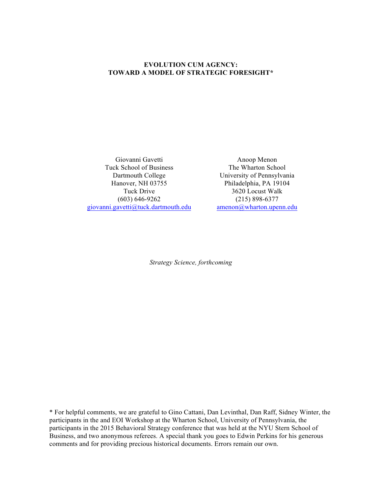# **EVOLUTION CUM AGENCY: TOWARD A MODEL OF STRATEGIC FORESIGHT\***

Giovanni Gavetti Anoop Menon Tuck School of Business The Wharton School Hanover, NH 03755 Philadelphia, PA 19104 (603) 646-9262 (215) 898-6377 giovanni.gavetti@tuck.dartmouth.edu amenon@wharton.upenn.edu

Dartmouth College University of Pennsylvania Tuck Drive 3620 Locust Walk

*Strategy Science, forthcoming*

\* For helpful comments, we are grateful to Gino Cattani, Dan Levinthal, Dan Raff, Sidney Winter, the participants in the and EOI Workshop at the Wharton School, University of Pennsylvania, the participants in the 2015 Behavioral Strategy conference that was held at the NYU Stern School of Business, and two anonymous referees. A special thank you goes to Edwin Perkins for his generous comments and for providing precious historical documents. Errors remain our own.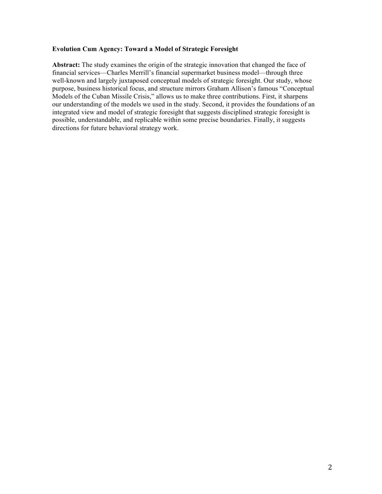# **Evolution Cum Agency: Toward a Model of Strategic Foresight**

**Abstract:** The study examines the origin of the strategic innovation that changed the face of financial services—Charles Merrill's financial supermarket business model—through three well-known and largely juxtaposed conceptual models of strategic foresight. Our study, whose purpose, business historical focus, and structure mirrors Graham Allison's famous "Conceptual Models of the Cuban Missile Crisis," allows us to make three contributions. First, it sharpens our understanding of the models we used in the study. Second, it provides the foundations of an integrated view and model of strategic foresight that suggests disciplined strategic foresight is possible, understandable, and replicable within some precise boundaries. Finally, it suggests directions for future behavioral strategy work.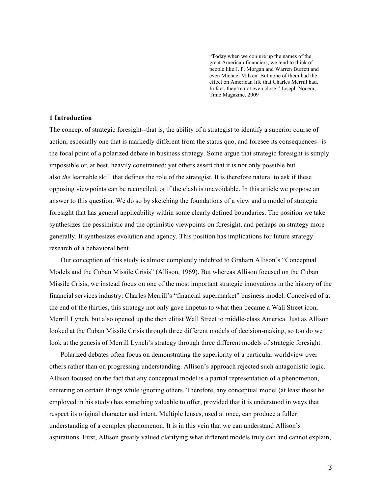"Today when we conjure up the names of the great American financiers, we tend to think of people like J. P. Morgan and Warren Buffett and even Michael Milken. But none of them had the effect on American life that Charles Merrill had. In fact, they're not even close." Joseph Nocera, Time Magazine, 2009

# **1 Introduction**

The concept of strategic foresight--that is, the ability of a strategist to identify a superior course of action, especially one that is markedly different from the status quo, and foresee its consequences--is the focal point of a polarized debate in business strategy. Some argue that strategic foresight is simply impossible or, at best, heavily constrained; yet others assert that it is not only possible but also *the* learnable skill that defines the role of the strategist. It is therefore natural to ask if these opposing viewpoints can be reconciled, or if the clash is unavoidable. In this article we propose an answer to this question. We do so by sketching the foundations of a view and a model of strategic foresight that has general applicability within some clearly defined boundaries. The position we take synthesizes the pessimistic and the optimistic viewpoints on foresight, and perhaps on strategy more generally. It synthesizes evolution and agency. This position has implications for future strategy research of a behavioral bent.

Our conception of this study is almost completely indebted to Graham Allison's "Conceptual Models and the Cuban Missile Crisis" (Allison, 1969). But whereas Allison focused on the Cuban Missile Crisis, we instead focus on one of the most important strategic innovations in the history of the financial services industry: Charles Merrill's "financial supermarket" business model. Conceived of at the end of the thirties, this strategy not only gave impetus to what then became a Wall Street icon, Merrill Lynch, but also opened up the then elitist Wall Street to middle-class America. Just as Allison looked at the Cuban Missile Crisis through three different models of decision-making, so too do we look at the genesis of Merrill Lynch's strategy through three different models of strategic foresight.

Polarized debates often focus on demonstrating the superiority of a particular worldview over others rather than on progressing understanding. Allison's approach rejected such antagonistic logic. Allison focused on the fact that any conceptual model is a partial representation of a phenomenon, centering on certain things while ignoring others. Therefore, any conceptual model (at least those he employed in his study) has something valuable to offer, provided that it is understood in ways that respect its original character and intent. Multiple lenses, used at once, can produce a fuller understanding of a complex phenomenon. It is in this vein that we can understand Allison's aspirations. First, Allison greatly valued clarifying what different models truly can and cannot explain,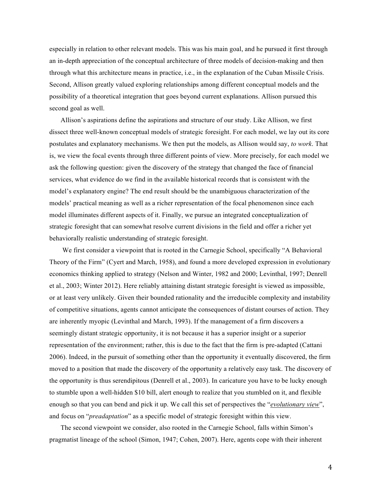especially in relation to other relevant models. This was his main goal, and he pursued it first through an in-depth appreciation of the conceptual architecture of three models of decision-making and then through what this architecture means in practice, i.e., in the explanation of the Cuban Missile Crisis. Second, Allison greatly valued exploring relationships among different conceptual models and the possibility of a theoretical integration that goes beyond current explanations. Allison pursued this second goal as well.

Allison's aspirations define the aspirations and structure of our study. Like Allison, we first dissect three well-known conceptual models of strategic foresight. For each model, we lay out its core postulates and explanatory mechanisms. We then put the models, as Allison would say, *to work*. That is, we view the focal events through three different points of view. More precisely, for each model we ask the following question: given the discovery of the strategy that changed the face of financial services, what evidence do we find in the available historical records that is consistent with the model's explanatory engine? The end result should be the unambiguous characterization of the models' practical meaning as well as a richer representation of the focal phenomenon since each model illuminates different aspects of it. Finally, we pursue an integrated conceptualization of strategic foresight that can somewhat resolve current divisions in the field and offer a richer yet behaviorally realistic understanding of strategic foresight.

We first consider a viewpoint that is rooted in the Carnegie School, specifically "A Behavioral Theory of the Firm" (Cyert and March, 1958), and found a more developed expression in evolutionary economics thinking applied to strategy (Nelson and Winter, 1982 and 2000; Levinthal, 1997; Denrell et al., 2003; Winter 2012). Here reliably attaining distant strategic foresight is viewed as impossible, or at least very unlikely. Given their bounded rationality and the irreducible complexity and instability of competitive situations, agents cannot anticipate the consequences of distant courses of action. They are inherently myopic (Levinthal and March, 1993). If the management of a firm discovers a seemingly distant strategic opportunity, it is not because it has a superior insight or a superior representation of the environment; rather, this is due to the fact that the firm is pre-adapted (Cattani 2006). Indeed, in the pursuit of something other than the opportunity it eventually discovered, the firm moved to a position that made the discovery of the opportunity a relatively easy task. The discovery of the opportunity is thus serendipitous (Denrell et al., 2003). In caricature you have to be lucky enough to stumble upon a well-hidden \$10 bill, alert enough to realize that you stumbled on it, and flexible enough so that you can bend and pick it up. We call this set of perspectives the "*evolutionary view*", and focus on "*preadaptation*" as a specific model of strategic foresight within this view.

The second viewpoint we consider, also rooted in the Carnegie School, falls within Simon's pragmatist lineage of the school (Simon, 1947; Cohen, 2007). Here, agents cope with their inherent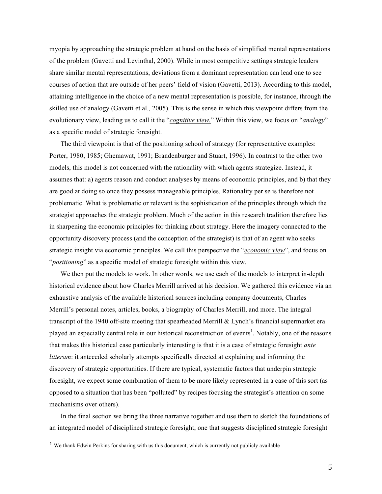myopia by approaching the strategic problem at hand on the basis of simplified mental representations of the problem (Gavetti and Levinthal, 2000). While in most competitive settings strategic leaders share similar mental representations, deviations from a dominant representation can lead one to see courses of action that are outside of her peers' field of vision (Gavetti, 2013). According to this model, attaining intelligence in the choice of a new mental representation is possible, for instance, through the skilled use of analogy (Gavetti et al., 2005). This is the sense in which this viewpoint differs from the evolutionary view, leading us to call it the "*cognitive view.*" Within this view, we focus on "*analogy*" as a specific model of strategic foresight.

The third viewpoint is that of the positioning school of strategy (for representative examples: Porter, 1980, 1985; Ghemawat, 1991; Brandenburger and Stuart, 1996). In contrast to the other two models, this model is not concerned with the rationality with which agents strategize. Instead, it assumes that: a) agents reason and conduct analyses by means of economic principles, and b) that they are good at doing so once they possess manageable principles. Rationality per se is therefore not problematic. What is problematic or relevant is the sophistication of the principles through which the strategist approaches the strategic problem. Much of the action in this research tradition therefore lies in sharpening the economic principles for thinking about strategy. Here the imagery connected to the opportunity discovery process (and the conception of the strategist) is that of an agent who seeks strategic insight via economic principles. We call this perspective the "*economic view*", and focus on "*positioning*" as a specific model of strategic foresight within this view.

We then put the models to work. In other words, we use each of the models to interpret in-depth historical evidence about how Charles Merrill arrived at his decision. We gathered this evidence via an exhaustive analysis of the available historical sources including company documents, Charles Merrill's personal notes, articles, books, a biography of Charles Merrill, and more. The integral transcript of the 1940 off-site meeting that spearheaded Merrill & Lynch's financial supermarket era played an especially central role in our historical reconstruction of events<sup>1</sup>. Notably, one of the reasons that makes this historical case particularly interesting is that it is a case of strategic foresight *ante litteram*: it anteceded scholarly attempts specifically directed at explaining and informing the discovery of strategic opportunities. If there are typical, systematic factors that underpin strategic foresight, we expect some combination of them to be more likely represented in a case of this sort (as opposed to a situation that has been "polluted" by recipes focusing the strategist's attention on some mechanisms over others).

In the final section we bring the three narrative together and use them to sketch the foundations of an integrated model of disciplined strategic foresight, one that suggests disciplined strategic foresight

 

<sup>1</sup> We thank Edwin Perkins for sharing with us this document, which is currently not publicly available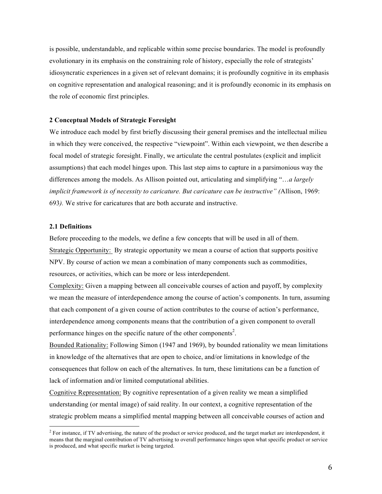is possible, understandable, and replicable within some precise boundaries. The model is profoundly evolutionary in its emphasis on the constraining role of history, especially the role of strategists' idiosyncratic experiences in a given set of relevant domains; it is profoundly cognitive in its emphasis on cognitive representation and analogical reasoning; and it is profoundly economic in its emphasis on the role of economic first principles.

# **2 Conceptual Models of Strategic Foresight**

We introduce each model by first briefly discussing their general premises and the intellectual milieu in which they were conceived, the respective "viewpoint". Within each viewpoint, we then describe a focal model of strategic foresight. Finally, we articulate the central postulates (explicit and implicit assumptions) that each model hinges upon. This last step aims to capture in a parsimonious way the differences among the models. As Allison pointed out, articulating and simplifying "…*a largely implicit framework is of necessity to caricature. But caricature can be instructive" (*Allison, 1969: 693*).* We strive for caricatures that are both accurate and instructive.

# **2.1 Definitions**

 

Before proceeding to the models, we define a few concepts that will be used in all of them. Strategic Opportunity: By strategic opportunity we mean a course of action that supports positive NPV. By course of action we mean a combination of many components such as commodities, resources, or activities, which can be more or less interdependent.

Complexity: Given a mapping between all conceivable courses of action and payoff, by complexity we mean the measure of interdependence among the course of action's components. In turn, assuming that each component of a given course of action contributes to the course of action's performance, interdependence among components means that the contribution of a given component to overall performance hinges on the specific nature of the other components<sup>2</sup>.

Bounded Rationality: Following Simon (1947 and 1969), by bounded rationality we mean limitations in knowledge of the alternatives that are open to choice, and/or limitations in knowledge of the consequences that follow on each of the alternatives. In turn, these limitations can be a function of lack of information and/or limited computational abilities.

Cognitive Representation: By cognitive representation of a given reality we mean a simplified understanding (or mental image) of said reality. In our context, a cognitive representation of the strategic problem means a simplified mental mapping between all conceivable courses of action and

 $2^2$  For instance, if TV advertising, the nature of the product or service produced, and the target market are interdependent, it means that the marginal contribution of TV advertising to overall performance hinges upon what specific product or service is produced, and what specific market is being targeted.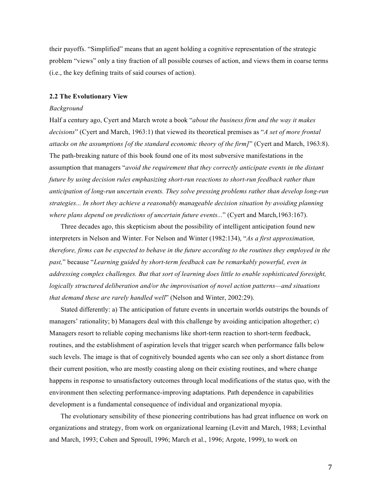their payoffs. "Simplified" means that an agent holding a cognitive representation of the strategic problem "views" only a tiny fraction of all possible courses of action, and views them in coarse terms (i.e., the key defining traits of said courses of action).

#### **2.2 The Evolutionary View**

#### *Background*

Half a century ago, Cyert and March wrote a book "*about the business firm and the way it makes decisions*" (Cyert and March, 1963:1) that viewed its theoretical premises as "*A set of more frontal attacks on the assumptions [of the standard economic theory of the firm]*" (Cyert and March, 1963:8). The path-breaking nature of this book found one of its most subversive manifestations in the assumption that managers "*avoid the requirement that they correctly anticipate events in the distant future by using decision rules emphasizing short-run reactions to short-run feedback rather than anticipation of long-run uncertain events. They solve pressing problems rather than develop long-run strategies... In short they achieve a reasonably manageable decision situation by avoiding planning where plans depend on predictions of uncertain future events...*" (Cyert and March,1963:167).

Three decades ago, this skepticism about the possibility of intelligent anticipation found new interpreters in Nelson and Winter. For Nelson and Winter (1982:134), "*As a first approximation, therefore, firms can be expected to behave in the future according to the routines they employed in the past,*" because "*Learning guided by short-term feedback can be remarkably powerful, even in addressing complex challenges. But that sort of learning does little to enable sophisticated foresight, logically structured deliberation and/or the improvisation of novel action patterns—and situations that demand these are rarely handled well*" (Nelson and Winter, 2002:29).

Stated differently: a) The anticipation of future events in uncertain worlds outstrips the bounds of managers' rationality; b) Managers deal with this challenge by avoiding anticipation altogether; c) Managers resort to reliable coping mechanisms like short-term reaction to short-term feedback, routines, and the establishment of aspiration levels that trigger search when performance falls below such levels. The image is that of cognitively bounded agents who can see only a short distance from their current position, who are mostly coasting along on their existing routines, and where change happens in response to unsatisfactory outcomes through local modifications of the status quo, with the environment then selecting performance-improving adaptations. Path dependence in capabilities development is a fundamental consequence of individual and organizational myopia.

The evolutionary sensibility of these pioneering contributions has had great influence on work on organizations and strategy, from work on organizational learning (Levitt and March, 1988; Levinthal and March, 1993; Cohen and Sproull, 1996; March et al., 1996; Argote, 1999), to work on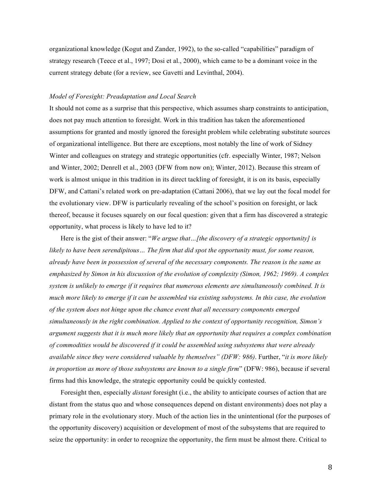organizational knowledge (Kogut and Zander, 1992), to the so-called "capabilities" paradigm of strategy research (Teece et al., 1997; Dosi et al., 2000), which came to be a dominant voice in the current strategy debate (for a review, see Gavetti and Levinthal, 2004).

# *Model of Foresight: Preadaptation and Local Search*

It should not come as a surprise that this perspective, which assumes sharp constraints to anticipation, does not pay much attention to foresight. Work in this tradition has taken the aforementioned assumptions for granted and mostly ignored the foresight problem while celebrating substitute sources of organizational intelligence. But there are exceptions, most notably the line of work of Sidney Winter and colleagues on strategy and strategic opportunities (cfr. especially Winter, 1987; Nelson and Winter, 2002; Denrell et al., 2003 (DFW from now on); Winter, 2012). Because this stream of work is almost unique in this tradition in its direct tackling of foresight, it is on its basis, especially DFW, and Cattani's related work on pre-adaptation (Cattani 2006), that we lay out the focal model for the evolutionary view. DFW is particularly revealing of the school's position on foresight, or lack thereof, because it focuses squarely on our focal question: given that a firm has discovered a strategic opportunity, what process is likely to have led to it?

Here is the gist of their answer: "*We argue that…[the discovery of a strategic opportunity] is likely to have been serendipitous… The firm that did spot the opportunity must, for some reason, already have been in possession of several of the necessary components. The reason is the same as emphasized by Simon in his discussion of the evolution of complexity (Simon, 1962; 1969). A complex system is unlikely to emerge if it requires that numerous elements are simultaneously combined. It is much more likely to emerge if it can be assembled via existing subsystems. In this case, the evolution of the system does not hinge upon the chance event that all necessary components emerged simultaneously in the right combination. Applied to the context of opportunity recognition, Simon's argument suggests that it is much more likely that an opportunity that requires a complex combination of commodities would be discovered if it could be assembled using subsystems that were already available since they were considered valuable by themselves" (DFW: 986)*. Further, "*it is more likely in proportion as more of those subsystems are known to a single firm*" (DFW: 986), because if several firms had this knowledge, the strategic opportunity could be quickly contested.

Foresight then, especially *distant* foresight (i.e., the ability to anticipate courses of action that are distant from the status quo and whose consequences depend on distant environments) does not play a primary role in the evolutionary story. Much of the action lies in the unintentional (for the purposes of the opportunity discovery) acquisition or development of most of the subsystems that are required to seize the opportunity: in order to recognize the opportunity, the firm must be almost there. Critical to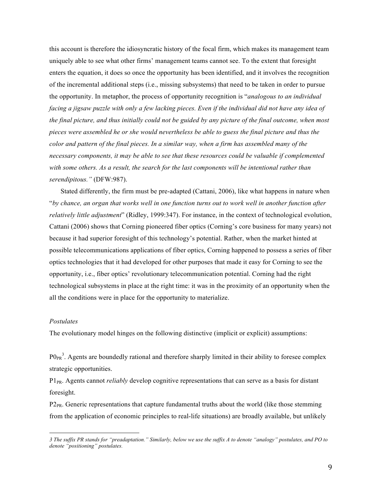this account is therefore the idiosyncratic history of the focal firm, which makes its management team uniquely able to see what other firms' management teams cannot see. To the extent that foresight enters the equation, it does so once the opportunity has been identified, and it involves the recognition of the incremental additional steps (i.e., missing subsystems) that need to be taken in order to pursue the opportunity. In metaphor, the process of opportunity recognition is "*analogous to an individual facing a jigsaw puzzle with only a few lacking pieces. Even if the individual did not have any idea of the final picture, and thus initially could not be guided by any picture of the final outcome, when most pieces were assembled he or she would nevertheless be able to guess the final picture and thus the color and pattern of the final pieces. In a similar way, when a firm has assembled many of the necessary components, it may be able to see that these resources could be valuable if complemented with some others. As a result, the search for the last components will be intentional rather than serendipitous."* (DFW:987).

Stated differently, the firm must be pre-adapted (Cattani, 2006), like what happens in nature when "*by chance, an organ that works well in one function turns out to work well in another function after relatively little adjustment*" (Ridley, 1999:347). For instance, in the context of technological evolution, Cattani (2006) shows that Corning pioneered fiber optics (Corning's core business for many years) not because it had superior foresight of this technology's potential. Rather, when the market hinted at possible telecommunications applications of fiber optics, Corning happened to possess a series of fiber optics technologies that it had developed for other purposes that made it easy for Corning to see the opportunity, i.e., fiber optics' revolutionary telecommunication potential. Corning had the right technological subsystems in place at the right time: it was in the proximity of an opportunity when the all the conditions were in place for the opportunity to materialize.

## *Postulates*

 

The evolutionary model hinges on the following distinctive (implicit or explicit) assumptions:

 $PO_{PR}^3$ . Agents are boundedly rational and therefore sharply limited in their ability to foresee complex strategic opportunities.

P1<sub>PR</sub>. Agents cannot *reliably* develop cognitive representations that can serve as a basis for distant foresight.

 $P2_{PR}$ . Generic representations that capture fundamental truths about the world (like those stemming from the application of economic principles to real-life situations) are broadly available, but unlikely

*<sup>3</sup> The suffix PR stands for "preadaptation." Similarly, below we use the suffix A to denote "analogy" postulates, and PO to denote "positioning" postulates.*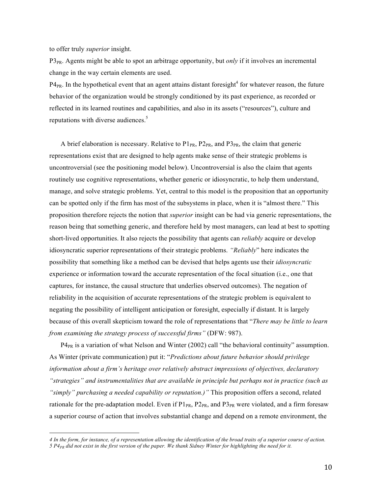to offer truly *superior* insight.

 

P3PR. Agents might be able to spot an arbitrage opportunity, but *only* if it involves an incremental change in the way certain elements are used.

 $P4_{PR}$ . In the hypothetical event that an agent attains distant foresight<sup>4</sup> for whatever reason, the future behavior of the organization would be strongly conditioned by its past experience, as recorded or reflected in its learned routines and capabilities, and also in its assets ("resources"), culture and reputations with diverse audiences.<sup>5</sup>

A brief elaboration is necessary. Relative to  $P1_{PR}$ ,  $P2_{PR}$ , and  $P3_{PR}$ , the claim that generic representations exist that are designed to help agents make sense of their strategic problems is uncontroversial (see the positioning model below). Uncontroversial is also the claim that agents routinely use cognitive representations, whether generic or idiosyncratic, to help them understand, manage, and solve strategic problems. Yet, central to this model is the proposition that an opportunity can be spotted only if the firm has most of the subsystems in place, when it is "almost there." This proposition therefore rejects the notion that *superior* insight can be had via generic representations, the reason being that something generic, and therefore held by most managers, can lead at best to spotting short-lived opportunities. It also rejects the possibility that agents can *reliably* acquire or develop idiosyncratic superior representations of their strategic problems. *"Reliably*" here indicates the possibility that something like a method can be devised that helps agents use their *idiosyncratic* experience or information toward the accurate representation of the focal situation (i.e., one that captures, for instance, the causal structure that underlies observed outcomes). The negation of reliability in the acquisition of accurate representations of the strategic problem is equivalent to negating the possibility of intelligent anticipation or foresight, especially if distant. It is largely because of this overall skepticism toward the role of representations that "*There may be little to learn from examining the strategy process of successful firms"* (DFW: 987).

 $P4_{PR}$  is a variation of what Nelson and Winter (2002) call "the behavioral continuity" assumption. As Winter (private communication) put it: "*Predictions about future behavior should privilege information about a firm's heritage over relatively abstract impressions of objectives, declaratory "strategies" and instrumentalities that are available in principle but perhaps not in practice (such as "simply" purchasing a needed capability or reputation.)"* This proposition offers a second, related rationale for the pre-adaptation model. Even if  $P1_{PR}$ ,  $P2_{PR}$ , and  $P3_{PR}$  were violated, and a firm foresaw a superior course of action that involves substantial change and depend on a remote environment, the

*<sup>4</sup> In the form, for instance, of a representation allowing the identification of the broad traits of a superior course of action. 5 P4PR did not exist in the first version of the paper. We thank Sidney Winter for highlighting the need for it.*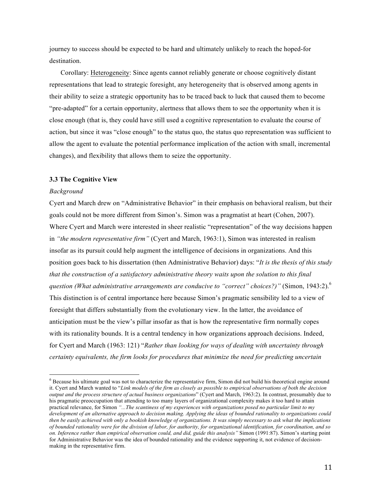journey to success should be expected to be hard and ultimately unlikely to reach the hoped-for destination.

Corollary: Heterogeneity: Since agents cannot reliably generate or choose cognitively distant representations that lead to strategic foresight, any heterogeneity that is observed among agents in their ability to seize a strategic opportunity has to be traced back to luck that caused them to become "pre-adapted" for a certain opportunity, alertness that allows them to see the opportunity when it is close enough (that is, they could have still used a cognitive representation to evaluate the course of action, but since it was "close enough" to the status quo, the status quo representation was sufficient to allow the agent to evaluate the potential performance implication of the action with small, incremental changes), and flexibility that allows them to seize the opportunity.

#### **3.3 The Cognitive View**

 

#### *Background*

Cyert and March drew on "Administrative Behavior" in their emphasis on behavioral realism, but their goals could not be more different from Simon's. Simon was a pragmatist at heart (Cohen, 2007). Where Cyert and March were interested in sheer realistic "representation" of the way decisions happen in *"the modern representative firm"* (Cyert and March, 1963:1), Simon was interested in realism insofar as its pursuit could help augment the intelligence of decisions in organizations. And this position goes back to his dissertation (then Administrative Behavior) days: "*It is the thesis of this study that the construction of a satisfactory administrative theory waits upon the solution to this final question (What administrative arrangements are conducive to "correct" choices?)"* (Simon, 1943:2).<sup>6</sup> This distinction is of central importance here because Simon's pragmatic sensibility led to a view of foresight that differs substantially from the evolutionary view. In the latter, the avoidance of anticipation must be the view's pillar insofar as that is how the representative firm normally copes with its rationality bounds. It is a central tendency in how organizations approach decisions. Indeed, for Cyert and March (1963: 121) "*Rather than looking for ways of dealing with uncertainty through certainty equivalents, the firm looks for procedures that minimize the need for predicting uncertain* 

<sup>&</sup>lt;sup>6</sup> Because his ultimate goal was not to characterize the representative firm, Simon did not build his theoretical engine around it. Cyert and March wanted to "*Link models of the firm as closely as possible to empirical observations of both the decision output and the process structure of actual business organizations*" (Cyert and March, 1963:2). In contrast, presumably due to his pragmatic preoccupation that attending to too many layers of organizational complexity makes it too hard to attain practical relevance, for Simon *"...The scantiness of my experiences with organizations posed no particular limit to my development of an alternative approach to decision making. Applying the ideas of bounded rationality to organizations could then be easily achieved with only a bookish knowledge of organizations. It was simply necessary to ask what the implications of bounded rationality were for the division of labor, for authority, for organizational identification, for coordination, and so on. Inference rather than empirical observation could, and did, guide this analysis"* Simon (1991:87). Simon's starting point for Administrative Behavior was the idea of bounded rationality and the evidence supporting it, not evidence of decisionmaking in the representative firm.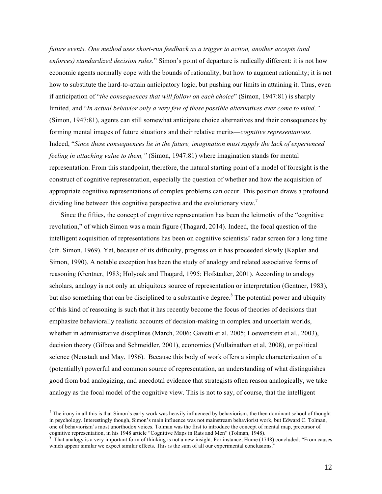*future events. One method uses short-run feedback as a trigger to action, another accepts (and enforces) standardized decision rules.*" Simon's point of departure is radically different: it is not how economic agents normally cope with the bounds of rationality, but how to augment rationality; it is not how to substitute the hard-to-attain anticipatory logic, but pushing our limits in attaining it. Thus, even if anticipation of "*the consequences that will follow on each choice*" (Simon, 1947:81) is sharply limited, and "*In actual behavior only a very few of these possible alternatives ever come to mind,"*  (Simon, 1947:81), agents can still somewhat anticipate choice alternatives and their consequences by forming mental images of future situations and their relative merits—*cognitive representations*. Indeed, "*Since these consequences lie in the future, imagination must supply the lack of experienced feeling in attaching value to them,"* (Simon, 1947:81) where imagination stands for mental representation. From this standpoint, therefore, the natural starting point of a model of foresight is the construct of cognitive representation, especially the question of whether and how the acquisition of appropriate cognitive representations of complex problems can occur. This position draws a profound dividing line between this cognitive perspective and the evolutionary view.<sup>7</sup>

Since the fifties, the concept of cognitive representation has been the leitmotiv of the "cognitive revolution," of which Simon was a main figure (Thagard, 2014). Indeed, the focal question of the intelligent acquisition of representations has been on cognitive scientists' radar screen for a long time (cfr. Simon, 1969). Yet, because of its difficulty, progress on it has proceeded slowly (Kaplan and Simon, 1990). A notable exception has been the study of analogy and related associative forms of reasoning (Gentner, 1983; Holyoak and Thagard, 1995; Hofstadter, 2001). According to analogy scholars, analogy is not only an ubiquitous source of representation or interpretation (Gentner, 1983), but also something that can be disciplined to a substantive degree.<sup>8</sup> The potential power and ubiquity of this kind of reasoning is such that it has recently become the focus of theories of decisions that emphasize behaviorally realistic accounts of decision-making in complex and uncertain worlds, whether in administrative disciplines (March, 2006; Gavetti et al. 2005; Loewenstein et al., 2003), decision theory (Gilboa and Schmeidler, 2001), economics (Mullainathan et al, 2008), or political science (Neustadt and May, 1986). Because this body of work offers a simple characterization of a (potentially) powerful and common source of representation, an understanding of what distinguishes good from bad analogizing, and anecdotal evidence that strategists often reason analogically, we take analogy as the focal model of the cognitive view. This is not to say, of course, that the intelligent

 $<sup>7</sup>$  The irony in all this is that Simon's early work was heavily influenced by behaviorism, the then dominant school of thought</sup> in psychology. Interestingly though, Simon's main influence was not mainstream behaviorist work, but Edward C. Tolman, one of behaviorism's most unorthodox voices. Tolman was the first to introduce the concept of mental map, precursor of cognitive representation, in his 1948 article "Cognitive Maps in Rats and Men" (Tolman, 1948).

<sup>8</sup> That analogy is a very important form of thinking is not a new insight. For instance, Hume (1748) concluded: "From causes which appear similar we expect similar effects. This is the sum of all our experimental conclusions."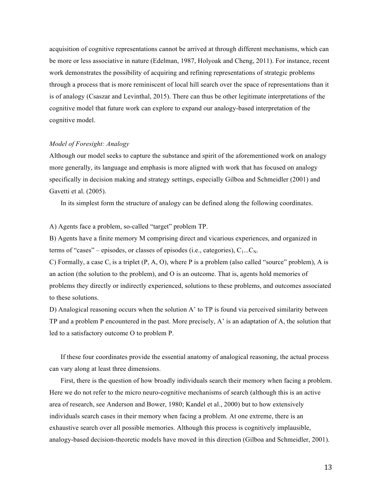acquisition of cognitive representations cannot be arrived at through different mechanisms, which can be more or less associative in nature (Edelman, 1987, Holyoak and Cheng, 2011). For instance, recent work demonstrates the possibility of acquiring and refining representations of strategic problems through a process that is more reminiscent of local hill search over the space of representations than it is of analogy (Csaszar and Levinthal, 2015). There can thus be other legitimate interpretations of the cognitive model that future work can explore to expand our analogy-based interpretation of the cognitive model.

# *Model of Foresight: Analogy*

Although our model seeks to capture the substance and spirit of the aforementioned work on analogy more generally, its language and emphasis is more aligned with work that has focused on analogy specifically in decision making and strategy settings, especially Gilboa and Schmeidler (2001) and Gavetti et al. (2005).

In its simplest form the structure of analogy can be defined along the following coordinates.

A) Agents face a problem, so-called "target" problem TP.

B) Agents have a finite memory M comprising direct and vicarious experiences, and organized in terms of "cases" – episodes, or classes of episodes (i.e., categories),  $C_1...C_N$ .

C) Formally, a case  $C_i$  is a triplet  $(P, A, O)$ , where P is a problem (also called "source" problem), A is an action (the solution to the problem), and O is an outcome. That is, agents hold memories of problems they directly or indirectly experienced, solutions to these problems, and outcomes associated to these solutions.

D) Analogical reasoning occurs when the solution A' to TP is found via perceived similarity between TP and a problem P encountered in the past. More precisely, A' is an adaptation of A, the solution that led to a satisfactory outcome O to problem P.

If these four coordinates provide the essential anatomy of analogical reasoning, the actual process can vary along at least three dimensions.

First, there is the question of how broadly individuals search their memory when facing a problem. Here we do not refer to the micro neuro-cognitive mechanisms of search (although this is an active area of research, see Anderson and Bower, 1980; Kandel et al., 2000) but to how extensively individuals search cases in their memory when facing a problem. At one extreme, there is an exhaustive search over all possible memories. Although this process is cognitively implausible, analogy-based decision-theoretic models have moved in this direction (Gilboa and Schmeidler, 2001).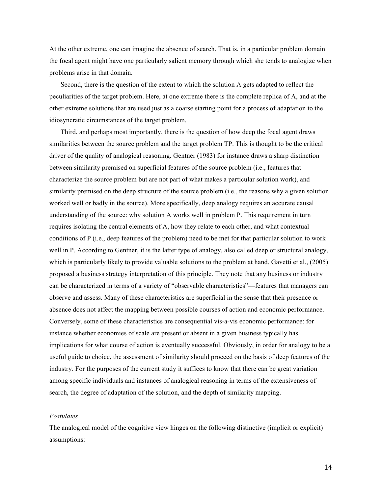At the other extreme, one can imagine the absence of search. That is, in a particular problem domain the focal agent might have one particularly salient memory through which she tends to analogize when problems arise in that domain.

Second, there is the question of the extent to which the solution A gets adapted to reflect the peculiarities of the target problem. Here, at one extreme there is the complete replica of A, and at the other extreme solutions that are used just as a coarse starting point for a process of adaptation to the idiosyncratic circumstances of the target problem.

Third, and perhaps most importantly, there is the question of how deep the focal agent draws similarities between the source problem and the target problem TP. This is thought to be the critical driver of the quality of analogical reasoning. Gentner (1983) for instance draws a sharp distinction between similarity premised on superficial features of the source problem (i.e., features that characterize the source problem but are not part of what makes a particular solution work), and similarity premised on the deep structure of the source problem (i.e., the reasons why a given solution worked well or badly in the source). More specifically, deep analogy requires an accurate causal understanding of the source: why solution A works well in problem P. This requirement in turn requires isolating the central elements of A, how they relate to each other, and what contextual conditions of P (i.e., deep features of the problem) need to be met for that particular solution to work well in P. According to Gentner, it is the latter type of analogy, also called deep or structural analogy, which is particularly likely to provide valuable solutions to the problem at hand. Gavetti et al., (2005) proposed a business strategy interpretation of this principle. They note that any business or industry can be characterized in terms of a variety of "observable characteristics"—features that managers can observe and assess. Many of these characteristics are superficial in the sense that their presence or absence does not affect the mapping between possible courses of action and economic performance. Conversely, some of these characteristics are consequential vis-a-vis economic performance: for instance whether economies of scale are present or absent in a given business typically has implications for what course of action is eventually successful. Obviously, in order for analogy to be a useful guide to choice, the assessment of similarity should proceed on the basis of deep features of the industry. For the purposes of the current study it suffices to know that there can be great variation among specific individuals and instances of analogical reasoning in terms of the extensiveness of search, the degree of adaptation of the solution, and the depth of similarity mapping.

# *Postulates*

The analogical model of the cognitive view hinges on the following distinctive (implicit or explicit) assumptions: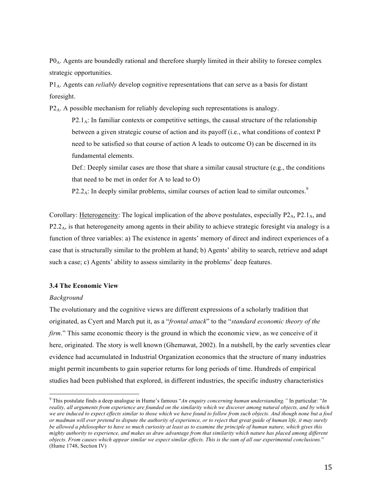P0A. Agents are boundedly rational and therefore sharply limited in their ability to foresee complex strategic opportunities.

P1A. Agents can *reliably* develop cognitive representations that can serve as a basis for distant foresight.

 $P2_A$ . A possible mechanism for reliably developing such representations is analogy.

 $P2.1_A$ : In familiar contexts or competitive settings, the causal structure of the relationship between a given strategic course of action and its payoff (i.e., what conditions of context P need to be satisfied so that course of action A leads to outcome O) can be discerned in its fundamental elements.

Def.: Deeply similar cases are those that share a similar causal structure (e.g., the conditions that need to be met in order for A to lead to O)

 $P2.2_A$ : In deeply similar problems, similar courses of action lead to similar outcomes.<sup>9</sup>

Corollary: Heterogeneity: The logical implication of the above postulates, especially  $P2_A$ ,  $P2.1_A$ , and  $P2.2_A$ , is that heterogeneity among agents in their ability to achieve strategic foresight via analogy is a function of three variables: a) The existence in agents' memory of direct and indirect experiences of a case that is structurally similar to the problem at hand; b) Agents' ability to search, retrieve and adapt such a case; c) Agents' ability to assess similarity in the problems' deep features.

# **3.4 The Economic View**

 

#### *Background*

The evolutionary and the cognitive views are different expressions of a scholarly tradition that originated, as Cyert and March put it, as a "*frontal attack*" to the "*standard economic theory of the firm*." This same economic theory is the ground in which the economic view, as we conceive of it here, originated. The story is well known (Ghemawat, 2002). In a nutshell, by the early seventies clear evidence had accumulated in Industrial Organization economics that the structure of many industries might permit incumbents to gain superior returns for long periods of time. Hundreds of empirical studies had been published that explored, in different industries, the specific industry characteristics

<sup>9</sup> This postulate finds a deep analogue in Hume's famous "*An enquiry concerning human understanding."* In particular: "*In reality, all arguments from experience are founded on the similarity which we discover among natural objects, and by which we are induced to expect effects similar to those which we have found to follow from such objects. And though none but a fool or madman will ever pretend to dispute the authority of experience, or to reject that great guide of human life, it may surely be allowed a philosopher to have so much curiosity at least as to examine the principle of human nature, which gives this mighty authority to experience, and makes us draw advantage from that similarity which nature has placed among different objects. From causes which appear similar we expect similar effects. This is the sum of all our experimental conclusions.*" (Hume 1748, Section IV)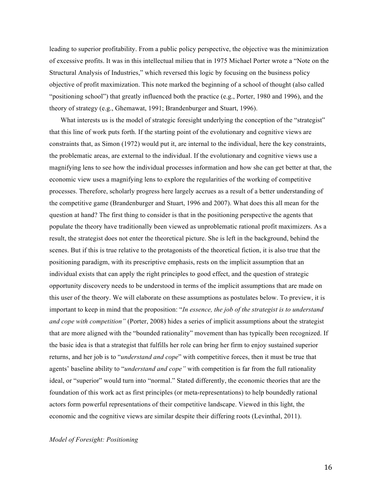leading to superior profitability. From a public policy perspective, the objective was the minimization of excessive profits. It was in this intellectual milieu that in 1975 Michael Porter wrote a "Note on the Structural Analysis of Industries," which reversed this logic by focusing on the business policy objective of profit maximization. This note marked the beginning of a school of thought (also called "positioning school") that greatly influenced both the practice (e.g., Porter, 1980 and 1996), and the theory of strategy (e.g., Ghemawat, 1991; Brandenburger and Stuart, 1996).

What interests us is the model of strategic foresight underlying the conception of the "strategist" that this line of work puts forth. If the starting point of the evolutionary and cognitive views are constraints that, as Simon (1972) would put it, are internal to the individual, here the key constraints, the problematic areas, are external to the individual. If the evolutionary and cognitive views use a magnifying lens to see how the individual processes information and how she can get better at that, the economic view uses a magnifying lens to explore the regularities of the working of competitive processes. Therefore, scholarly progress here largely accrues as a result of a better understanding of the competitive game (Brandenburger and Stuart, 1996 and 2007). What does this all mean for the question at hand? The first thing to consider is that in the positioning perspective the agents that populate the theory have traditionally been viewed as unproblematic rational profit maximizers. As a result, the strategist does not enter the theoretical picture. She is left in the background, behind the scenes. But if this is true relative to the protagonists of the theoretical fiction, it is also true that the positioning paradigm, with its prescriptive emphasis, rests on the implicit assumption that an individual exists that can apply the right principles to good effect, and the question of strategic opportunity discovery needs to be understood in terms of the implicit assumptions that are made on this user of the theory. We will elaborate on these assumptions as postulates below. To preview, it is important to keep in mind that the proposition: "*In essence, the job of the strategist is to understand and cope with competition"* (Porter, 2008) hides a series of implicit assumptions about the strategist that are more aligned with the "bounded rationality" movement than has typically been recognized. If the basic idea is that a strategist that fulfills her role can bring her firm to enjoy sustained superior returns, and her job is to "*understand and cope*" with competitive forces, then it must be true that agents' baseline ability to "*understand and cope"* with competition is far from the full rationality ideal, or "superior" would turn into "normal." Stated differently, the economic theories that are the foundation of this work act as first principles (or meta-representations) to help boundedly rational actors form powerful representations of their competitive landscape. Viewed in this light, the economic and the cognitive views are similar despite their differing roots (Levinthal, 2011).

# *Model of Foresight: Positioning*

16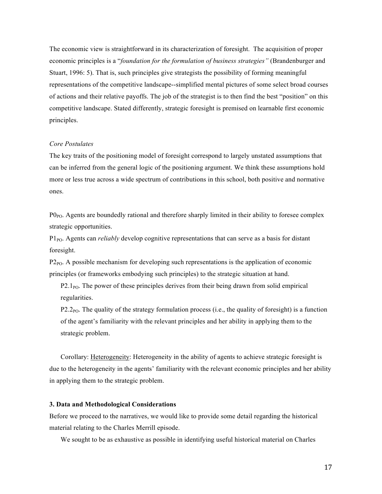The economic view is straightforward in its characterization of foresight. The acquisition of proper economic principles is a "*foundation for the formulation of business strategies"* (Brandenburger and Stuart, 1996: 5). That is, such principles give strategists the possibility of forming meaningful representations of the competitive landscape--simplified mental pictures of some select broad courses of actions and their relative payoffs. The job of the strategist is to then find the best "position" on this competitive landscape. Stated differently, strategic foresight is premised on learnable first economic principles.

# *Core Postulates*

The key traits of the positioning model of foresight correspond to largely unstated assumptions that can be inferred from the general logic of the positioning argument. We think these assumptions hold more or less true across a wide spectrum of contributions in this school, both positive and normative ones.

 $P0_{PQ}$ . Agents are boundedly rational and therefore sharply limited in their ability to foresee complex strategic opportunities.

P1<sub>PO</sub>. Agents can *reliably* develop cognitive representations that can serve as a basis for distant foresight.

 $P2_{PQ}$ . A possible mechanism for developing such representations is the application of economic principles (or frameworks embodying such principles) to the strategic situation at hand.

 $P2.1_{PQ}$ . The power of these principles derives from their being drawn from solid empirical regularities.

P2.2<sub>PO</sub>. The quality of the strategy formulation process (i.e., the quality of foresight) is a function of the agent's familiarity with the relevant principles and her ability in applying them to the strategic problem.

Corollary: Heterogeneity: Heterogeneity in the ability of agents to achieve strategic foresight is due to the heterogeneity in the agents' familiarity with the relevant economic principles and her ability in applying them to the strategic problem.

# **3. Data and Methodological Considerations**

Before we proceed to the narratives, we would like to provide some detail regarding the historical material relating to the Charles Merrill episode.

We sought to be as exhaustive as possible in identifying useful historical material on Charles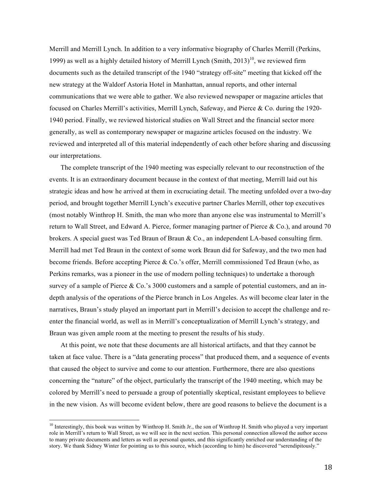Merrill and Merrill Lynch. In addition to a very informative biography of Charles Merrill (Perkins, 1999) as well as a highly detailed history of Merrill Lynch (Smith,  $2013$ )<sup>10</sup>, we reviewed firm documents such as the detailed transcript of the 1940 "strategy off-site" meeting that kicked off the new strategy at the Waldorf Astoria Hotel in Manhattan, annual reports, and other internal communications that we were able to gather. We also reviewed newspaper or magazine articles that focused on Charles Merrill's activities, Merrill Lynch, Safeway, and Pierce & Co. during the 1920- 1940 period. Finally, we reviewed historical studies on Wall Street and the financial sector more generally, as well as contemporary newspaper or magazine articles focused on the industry. We reviewed and interpreted all of this material independently of each other before sharing and discussing our interpretations.

The complete transcript of the 1940 meeting was especially relevant to our reconstruction of the events. It is an extraordinary document because in the context of that meeting, Merrill laid out his strategic ideas and how he arrived at them in excruciating detail. The meeting unfolded over a two-day period, and brought together Merrill Lynch's executive partner Charles Merrill, other top executives (most notably Winthrop H. Smith, the man who more than anyone else was instrumental to Merrill's return to Wall Street, and Edward A. Pierce, former managing partner of Pierce & Co.), and around 70 brokers. A special guest was Ted Braun of Braun & Co., an independent LA-based consulting firm. Merrill had met Ted Braun in the context of some work Braun did for Safeway, and the two men had become friends. Before accepting Pierce & Co.'s offer, Merrill commissioned Ted Braun (who, as Perkins remarks, was a pioneer in the use of modern polling techniques) to undertake a thorough survey of a sample of Pierce  $\&$  Co.'s 3000 customers and a sample of potential customers, and an indepth analysis of the operations of the Pierce branch in Los Angeles. As will become clear later in the narratives, Braun's study played an important part in Merrill's decision to accept the challenge and reenter the financial world, as well as in Merrill's conceptualization of Merrill Lynch's strategy, and Braun was given ample room at the meeting to present the results of his study.

At this point, we note that these documents are all historical artifacts, and that they cannot be taken at face value. There is a "data generating process" that produced them, and a sequence of events that caused the object to survive and come to our attention. Furthermore, there are also questions concerning the "nature" of the object, particularly the transcript of the 1940 meeting, which may be colored by Merrill's need to persuade a group of potentially skeptical, resistant employees to believe in the new vision. As will become evident below, there are good reasons to believe the document is a

 

 $10$  Interestingly, this book was written by Winthrop H. Smith Jr., the son of Winthrop H. Smith who played a very important role in Merrill's return to Wall Street, as we will see in the next section. This personal connection allowed the author access to many private documents and letters as well as personal quotes, and this significantly enriched our understanding of the story. We thank Sidney Winter for pointing us to this source, which (according to him) he discovered "serendipitously."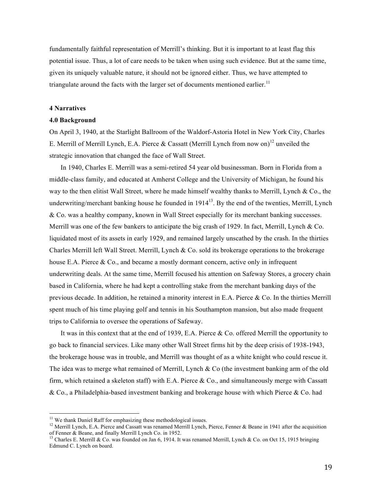fundamentally faithful representation of Merrill's thinking. But it is important to at least flag this potential issue. Thus, a lot of care needs to be taken when using such evidence. But at the same time, given its uniquely valuable nature, it should not be ignored either. Thus, we have attempted to triangulate around the facts with the larger set of documents mentioned earlier.<sup>11</sup>

# **4 Narratives**

# **4.0 Background**

On April 3, 1940, at the Starlight Ballroom of the Waldorf-Astoria Hotel in New York City, Charles E. Merrill of Merrill Lynch, E.A. Pierce & Cassatt (Merrill Lynch from now on)<sup>12</sup> unveiled the strategic innovation that changed the face of Wall Street.

In 1940, Charles E. Merrill was a semi-retired 54 year old businessman. Born in Florida from a middle-class family, and educated at Amherst College and the University of Michigan, he found his way to the then elitist Wall Street, where he made himself wealthy thanks to Merrill, Lynch & Co., the underwriting/merchant banking house he founded in  $1914<sup>13</sup>$ . By the end of the twenties, Merrill, Lynch & Co. was a healthy company, known in Wall Street especially for its merchant banking successes. Merrill was one of the few bankers to anticipate the big crash of 1929. In fact, Merrill, Lynch & Co. liquidated most of its assets in early 1929, and remained largely unscathed by the crash. In the thirties Charles Merrill left Wall Street. Merrill, Lynch & Co. sold its brokerage operations to the brokerage house E.A. Pierce & Co., and became a mostly dormant concern, active only in infrequent underwriting deals. At the same time, Merrill focused his attention on Safeway Stores, a grocery chain based in California, where he had kept a controlling stake from the merchant banking days of the previous decade. In addition, he retained a minority interest in E.A. Pierce & Co. In the thirties Merrill spent much of his time playing golf and tennis in his Southampton mansion, but also made frequent trips to California to oversee the operations of Safeway.

It was in this context that at the end of 1939, E.A. Pierce & Co. offered Merrill the opportunity to go back to financial services. Like many other Wall Street firms hit by the deep crisis of 1938-1943, the brokerage house was in trouble, and Merrill was thought of as a white knight who could rescue it. The idea was to merge what remained of Merrill, Lynch & Co (the investment banking arm of the old firm, which retained a skeleton staff) with E.A. Pierce & Co., and simultaneously merge with Cassatt & Co., a Philadelphia-based investment banking and brokerage house with which Pierce & Co. had

<sup>&</sup>lt;sup>11</sup> We thank Daniel Raff for emphasizing these methodological issues.<br><sup>12</sup> Merrill Lynch, E.A. Pierce and Cassatt was renamed Merrill Lynch, Pierce, Fenner & Beane in 1941 after the acquisition of Fenner & Beane, and fin

<sup>&</sup>lt;sup>13</sup> Charles E. Merrill & Co. was founded on Jan 6, 1914. It was renamed Merrill, Lynch & Co. on Oct 15, 1915 bringing Edmund C. Lynch on board.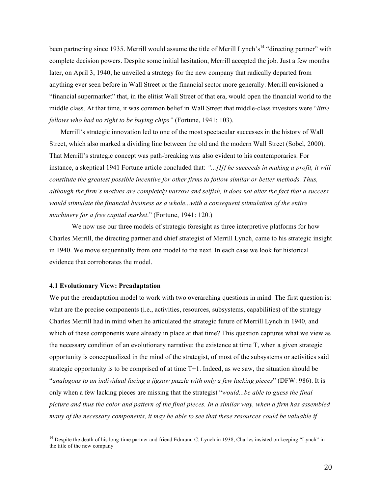been partnering since 1935. Merrill would assume the title of Merill Lynch's<sup>14</sup> "directing partner" with complete decision powers. Despite some initial hesitation, Merrill accepted the job. Just a few months later, on April 3, 1940, he unveiled a strategy for the new company that radically departed from anything ever seen before in Wall Street or the financial sector more generally. Merrill envisioned a "financial supermarket" that, in the elitist Wall Street of that era, would open the financial world to the middle class. At that time, it was common belief in Wall Street that middle-class investors were "*little fellows who had no right to be buying chips"* (Fortune, 1941: 103).

Merrill's strategic innovation led to one of the most spectacular successes in the history of Wall Street, which also marked a dividing line between the old and the modern Wall Street (Sobel, 2000). That Merrill's strategic concept was path-breaking was also evident to his contemporaries. For instance, a skeptical 1941 Fortune article concluded that: *"...[I]f he succeeds in making a profit, it will constitute the greatest possible incentive for other firms to follow similar or better methods. Thus, although the firm's motives are completely narrow and selfish, it does not alter the fact that a success would stimulate the financial business as a whole...with a consequent stimulation of the entire machinery for a free capital market*." (Fortune, 1941: 120.)

 We now use our three models of strategic foresight as three interpretive platforms for how Charles Merrill, the directing partner and chief strategist of Merrill Lynch, came to his strategic insight in 1940. We move sequentially from one model to the next. In each case we look for historical evidence that corroborates the model.

#### **4.1 Evolutionary View: Preadaptation**

 

We put the preadaptation model to work with two overarching questions in mind. The first question is: what are the precise components (i.e., activities, resources, subsystems, capabilities) of the strategy Charles Merrill had in mind when he articulated the strategic future of Merrill Lynch in 1940, and which of these components were already in place at that time? This question captures what we view as the necessary condition of an evolutionary narrative: the existence at time T, when a given strategic opportunity is conceptualized in the mind of the strategist, of most of the subsystems or activities said strategic opportunity is to be comprised of at time T+1. Indeed, as we saw, the situation should be "*analogous to an individual facing a jigsaw puzzle with only a few lacking pieces*" (DFW: 986). It is only when a few lacking pieces are missing that the strategist "*would...be able to guess the final picture and thus the color and pattern of the final pieces. In a similar way, when a firm has assembled many of the necessary components, it may be able to see that these resources could be valuable if* 

<sup>&</sup>lt;sup>14</sup> Despite the death of his long-time partner and friend Edmund C. Lynch in 1938, Charles insisted on keeping "Lynch" in the title of the new company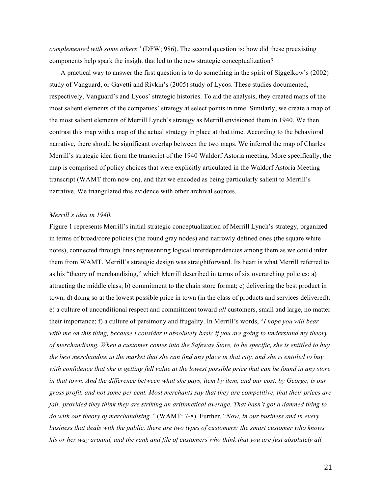*complemented with some others"* (DFW; 986). The second question is: how did these preexisting components help spark the insight that led to the new strategic conceptualization?

A practical way to answer the first question is to do something in the spirit of Siggelkow's (2002) study of Vanguard, or Gavetti and Rivkin's (2005) study of Lycos. These studies documented, respectively, Vanguard's and Lycos' strategic histories. To aid the analysis, they created maps of the most salient elements of the companies' strategy at select points in time. Similarly, we create a map of the most salient elements of Merrill Lynch's strategy as Merrill envisioned them in 1940. We then contrast this map with a map of the actual strategy in place at that time. According to the behavioral narrative, there should be significant overlap between the two maps. We inferred the map of Charles Merrill's strategic idea from the transcript of the 1940 Waldorf Astoria meeting. More specifically, the map is comprised of policy choices that were explicitly articulated in the Waldorf Astoria Meeting transcript (WAMT from now on), and that we encoded as being particularly salient to Merrill's narrative. We triangulated this evidence with other archival sources.

# *Merrill's idea in 1940.*

Figure 1 represents Merrill's initial strategic conceptualization of Merrill Lynch's strategy, organized in terms of broad/core policies (the round gray nodes) and narrowly defined ones (the square white notes), connected through lines representing logical interdependencies among them as we could infer them from WAMT. Merrill's strategic design was straightforward. Its heart is what Merrill referred to as his "theory of merchandising," which Merrill described in terms of six overarching policies: a) attracting the middle class; b) commitment to the chain store format; c) delivering the best product in town; d) doing so at the lowest possible price in town (in the class of products and services delivered); e) a culture of unconditional respect and commitment toward *all* customers, small and large, no matter their importance; f) a culture of parsimony and frugality. In Merrill's words, "*I hope you will bear with me on this thing, because I consider it absolutely basic if you are going to understand my theory of merchandising. When a customer comes into the Safeway Store, to be specific, she is entitled to buy the best merchandise in the market that she can find any place in that city, and she is entitled to buy with confidence that she is getting full value at the lowest possible price that can be found in any store in that town. And the difference between what she pays, item by item, and our cost, by George, is our gross profit, and not some per cent. Most merchants say that they are competitive, that their prices are fair, provided they think they are striking an arithmetical average. That hasn't got a damned thing to do with our theory of merchandising."* (WAMT: 7-8). Further, "*Now, in our business and in every business that deals with the public, there are two types of customers: the smart customer who knows his or her way around, and the rank and file of customers who think that you are just absolutely all*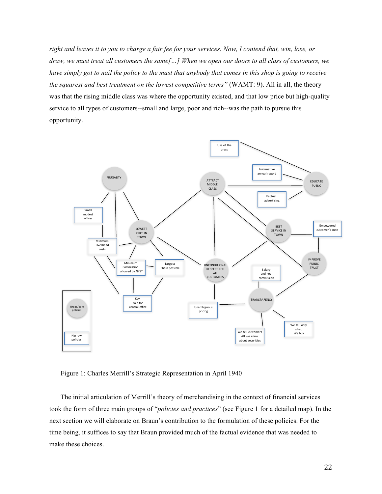*right and leaves it to you to charge a fair fee for your services. Now, I contend that, win, lose, or draw, we must treat all customers the same[…] When we open our doors to all class of customers, we have simply got to nail the policy to the mast that anybody that comes in this shop is going to receive the squarest and best treatment on the lowest competitive terms"* (WAMT: 9). All in all, the theory was that the rising middle class was where the opportunity existed, and that low price but high-quality service to all types of customers--small and large, poor and rich--was the path to pursue this opportunity.



Figure 1: Charles Merrill's Strategic Representation in April 1940

The initial articulation of Merrill's theory of merchandising in the context of financial services took the form of three main groups of "*policies and practices*" (see Figure 1 for a detailed map). In the next section we will elaborate on Braun's contribution to the formulation of these policies. For the time being, it suffices to say that Braun provided much of the factual evidence that was needed to make these choices.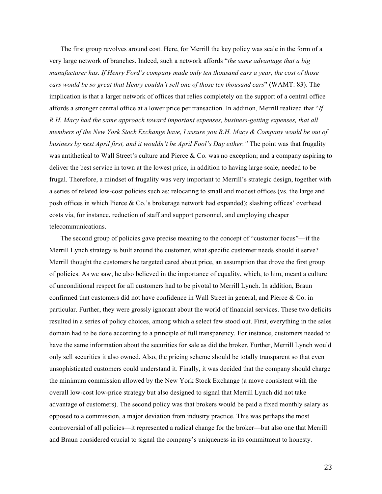The first group revolves around cost. Here, for Merrill the key policy was scale in the form of a very large network of branches. Indeed, such a network affords "*the same advantage that a big manufacturer has. If Henry Ford's company made only ten thousand cars a year, the cost of those cars would be so great that Henry couldn't sell one of those ten thousand cars*" (WAMT: 83). The implication is that a larger network of offices that relies completely on the support of a central office affords a stronger central office at a lower price per transaction. In addition, Merrill realized that "*If R.H. Macy had the same approach toward important expenses, business-getting expenses, that all members of the New York Stock Exchange have, I assure you R.H. Macy & Company would be out of business by next April first, and it wouldn't be April Fool's Day either."* The point was that frugality was antithetical to Wall Street's culture and Pierce & Co. was no exception; and a company aspiring to deliver the best service in town at the lowest price, in addition to having large scale, needed to be frugal. Therefore, a mindset of frugality was very important to Merrill's strategic design, together with a series of related low-cost policies such as: relocating to small and modest offices (vs. the large and posh offices in which Pierce & Co.'s brokerage network had expanded); slashing offices' overhead costs via, for instance, reduction of staff and support personnel, and employing cheaper telecommunications.

The second group of policies gave precise meaning to the concept of "customer focus"—if the Merrill Lynch strategy is built around the customer, what specific customer needs should it serve? Merrill thought the customers he targeted cared about price, an assumption that drove the first group of policies. As we saw, he also believed in the importance of equality, which, to him, meant a culture of unconditional respect for all customers had to be pivotal to Merrill Lynch. In addition, Braun confirmed that customers did not have confidence in Wall Street in general, and Pierce & Co. in particular. Further, they were grossly ignorant about the world of financial services. These two deficits resulted in a series of policy choices, among which a select few stood out. First, everything in the sales domain had to be done according to a principle of full transparency. For instance, customers needed to have the same information about the securities for sale as did the broker. Further, Merrill Lynch would only sell securities it also owned. Also, the pricing scheme should be totally transparent so that even unsophisticated customers could understand it. Finally, it was decided that the company should charge the minimum commission allowed by the New York Stock Exchange (a move consistent with the overall low-cost low-price strategy but also designed to signal that Merrill Lynch did not take advantage of customers). The second policy was that brokers would be paid a fixed monthly salary as opposed to a commission, a major deviation from industry practice. This was perhaps the most controversial of all policies—it represented a radical change for the broker—but also one that Merrill and Braun considered crucial to signal the company's uniqueness in its commitment to honesty.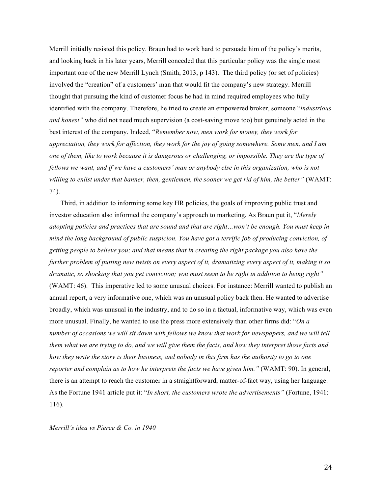Merrill initially resisted this policy. Braun had to work hard to persuade him of the policy's merits, and looking back in his later years, Merrill conceded that this particular policy was the single most important one of the new Merrill Lynch (Smith, 2013, p 143). The third policy (or set of policies) involved the "creation" of a customers' man that would fit the company's new strategy. Merrill thought that pursuing the kind of customer focus he had in mind required employees who fully identified with the company. Therefore, he tried to create an empowered broker, someone "*industrious and honest"* who did not need much supervision (a cost-saving move too) but genuinely acted in the best interest of the company. Indeed, "*Remember now, men work for money, they work for appreciation, they work for affection, they work for the joy of going somewhere. Some men, and I am one of them, like to work because it is dangerous or challenging, or impossible. They are the type of fellows we want, and if we have a customers' man or anybody else in this organization, who is not willing to enlist under that banner, then, gentlemen, the sooner we get rid of him, the better"* (WAMT: 74).

Third, in addition to informing some key HR policies, the goals of improving public trust and investor education also informed the company's approach to marketing. As Braun put it, "*Merely adopting policies and practices that are sound and that are right…won't be enough. You must keep in mind the long background of public suspicion. You have got a terrific job of producing conviction, of getting people to believe you; and that means that in creating the right package you also have the further problem of putting new twists on every aspect of it, dramatizing every aspect of it, making it so dramatic, so shocking that you get conviction; you must seem to be right in addition to being right"* (WAMT: 46). This imperative led to some unusual choices. For instance: Merrill wanted to publish an annual report, a very informative one, which was an unusual policy back then. He wanted to advertise broadly, which was unusual in the industry, and to do so in a factual, informative way, which was even more unusual. Finally, he wanted to use the press more extensively than other firms did: "*On a number of occasions we will sit down with fellows we know that work for newspapers, and we will tell them what we are trying to do, and we will give them the facts, and how they interpret those facts and how they write the story is their business, and nobody in this firm has the authority to go to one reporter and complain as to how he interprets the facts we have given him."* (WAMT: 90). In general, there is an attempt to reach the customer in a straightforward, matter-of-fact way, using her language. As the Fortune 1941 article put it: "*In short, the customers wrote the advertisements"* (Fortune, 1941: 116).

#### *Merrill's idea vs Pierce & Co. in 1940*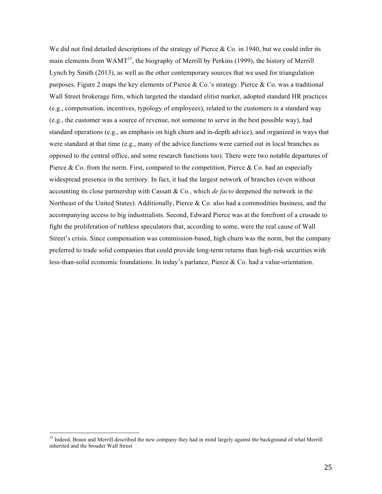We did not find detailed descriptions of the strategy of Pierce  $\&$  Co. in 1940, but we could infer its main elements from WAMT<sup>15</sup>, the biography of Merrill by Perkins (1999), the history of Merrill Lynch by Smith (2013), as well as the other contemporary sources that we used for triangulation purposes. Figure 2 maps the key elements of Pierce & Co.'s strategy. Pierce & Co. was a traditional Wall Street brokerage firm, which targeted the standard elitist market, adopted standard HR practices (e.g., compensation, incentives, typology of employees), related to the customers in a standard way (e.g., the customer was a source of revenue, not someone to serve in the best possible way), had standard operations (e.g., an emphasis on high churn and in-depth advice), and organized in ways that were standard at that time (e.g., many of the advice functions were carried out in local branches as opposed to the central office, and some research functions too). There were two notable departures of Pierce & Co. from the norm. First, compared to the competition, Pierce & Co. had an especially widespread presence in the territory. In fact, it had the largest network of branches (even without accounting its close partnership with Cassatt & Co., which *de facto* deepened the network in the Northeast of the United States). Additionally, Pierce & Co. also had a commodities business, and the accompanying access to big industrialists. Second, Edward Pierce was at the forefront of a crusade to fight the proliferation of ruthless speculators that, according to some, were the real cause of Wall Street's crisis. Since compensation was commission-based, high churn was the norm, but the company preferred to trade solid companies that could provide long-term returns than high-risk securities with less-than-solid economic foundations. In today's parlance, Pierce & Co. had a value-orientation.

 

<sup>&</sup>lt;sup>15</sup> Indeed, Braun and Merrill described the new company they had in mind largely against the background of what Merrill inherited and the broader Wall Street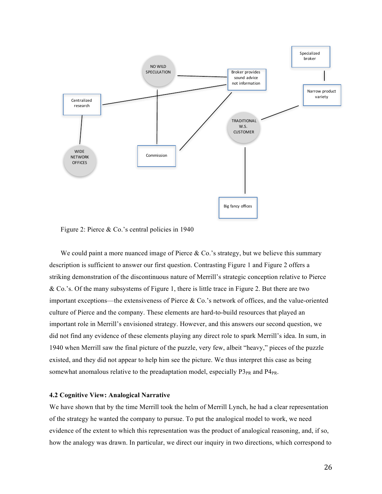

Figure 2: Pierce & Co.'s central policies in 1940

We could paint a more nuanced image of Pierce  $& Co.'s$  strategy, but we believe this summary description is sufficient to answer our first question. Contrasting Figure 1 and Figure 2 offers a striking demonstration of the discontinuous nature of Merrill's strategic conception relative to Pierce & Co.'s. Of the many subsystems of Figure 1, there is little trace in Figure 2. But there are two important exceptions—the extensiveness of Pierce & Co.'s network of offices, and the value-oriented culture of Pierce and the company. These elements are hard-to-build resources that played an important role in Merrill's envisioned strategy. However, and this answers our second question, we did not find any evidence of these elements playing any direct role to spark Merrill's idea. In sum, in 1940 when Merrill saw the final picture of the puzzle, very few, albeit "heavy," pieces of the puzzle existed, and they did not appear to help him see the picture. We thus interpret this case as being somewhat anomalous relative to the preadaptation model, especially  $P3_{PR}$  and  $P4_{PR}$ .

# **4.2 Cognitive View: Analogical Narrative**

We have shown that by the time Merrill took the helm of Merrill Lynch, he had a clear representation of the strategy he wanted the company to pursue. To put the analogical model to work, we need evidence of the extent to which this representation was the product of analogical reasoning, and, if so, how the analogy was drawn. In particular, we direct our inquiry in two directions, which correspond to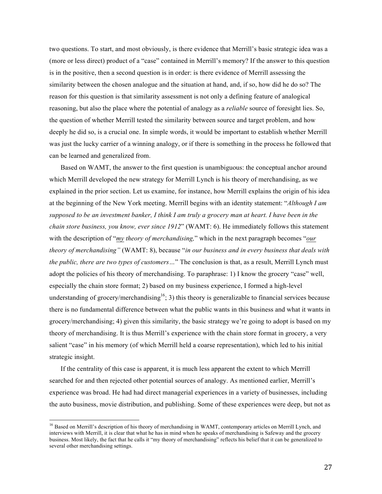two questions. To start, and most obviously, is there evidence that Merrill's basic strategic idea was a (more or less direct) product of a "case" contained in Merrill's memory? If the answer to this question is in the positive, then a second question is in order: is there evidence of Merrill assessing the similarity between the chosen analogue and the situation at hand, and, if so, how did he do so? The reason for this question is that similarity assessment is not only a defining feature of analogical reasoning, but also the place where the potential of analogy as a *reliable* source of foresight lies. So, the question of whether Merrill tested the similarity between source and target problem, and how deeply he did so, is a crucial one. In simple words, it would be important to establish whether Merrill was just the lucky carrier of a winning analogy, or if there is something in the process he followed that can be learned and generalized from.

Based on WAMT, the answer to the first question is unambiguous: the conceptual anchor around which Merrill developed the new strategy for Merrill Lynch is his theory of merchandising, as we explained in the prior section. Let us examine, for instance, how Merrill explains the origin of his idea at the beginning of the New York meeting. Merrill begins with an identity statement: "*Although I am supposed to be an investment banker, I think I am truly a grocery man at heart. I have been in the chain store business, you know, ever since 1912*" (WAMT: 6). He immediately follows this statement with the description of "*my theory of merchandising,*" which in the next paragraph becomes "*our theory of merchandising"* (WAMT: 8), because "*in our business and in every business that deals with the public, there are two types of customers…*" The conclusion is that, as a result, Merrill Lynch must adopt the policies of his theory of merchandising. To paraphrase: 1) I know the grocery "case" well, especially the chain store format; 2) based on my business experience, I formed a high-level understanding of grocery/merchandising<sup>16</sup>; 3) this theory is generalizable to financial services because there is no fundamental difference between what the public wants in this business and what it wants in grocery/merchandising; 4) given this similarity, the basic strategy we're going to adopt is based on my theory of merchandising. It is thus Merrill's experience with the chain store format in grocery, a very salient "case" in his memory (of which Merrill held a coarse representation), which led to his initial strategic insight.

If the centrality of this case is apparent, it is much less apparent the extent to which Merrill searched for and then rejected other potential sources of analogy. As mentioned earlier, Merrill's experience was broad. He had had direct managerial experiences in a variety of businesses, including the auto business, movie distribution, and publishing. Some of these experiences were deep, but not as

 

<sup>&</sup>lt;sup>16</sup> Based on Merrill's description of his theory of merchandising in WAMT, contemporary articles on Merrill Lynch, and interviews with Merrill, it is clear that what he has in mind when he speaks of merchandising is Safeway and the grocery business. Most likely, the fact that he calls it "my theory of merchandising" reflects his belief that it can be generalized to several other merchandising settings.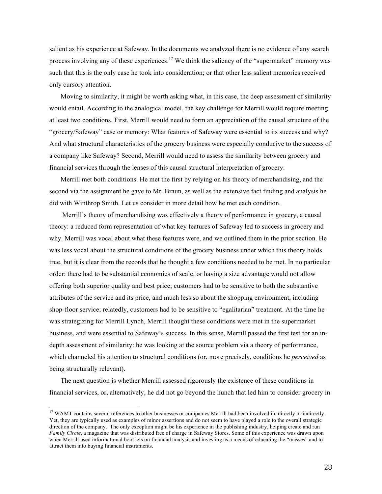salient as his experience at Safeway. In the documents we analyzed there is no evidence of any search process involving any of these experiences.<sup>17</sup> We think the saliency of the "supermarket" memory was such that this is the only case he took into consideration; or that other less salient memories received only cursory attention.

Moving to similarity, it might be worth asking what, in this case, the deep assessment of similarity would entail. According to the analogical model, the key challenge for Merrill would require meeting at least two conditions. First, Merrill would need to form an appreciation of the causal structure of the "grocery/Safeway" case or memory: What features of Safeway were essential to its success and why? And what structural characteristics of the grocery business were especially conducive to the success of a company like Safeway? Second, Merrill would need to assess the similarity between grocery and financial services through the lenses of this causal structural interpretation of grocery.

Merrill met both conditions. He met the first by relying on his theory of merchandising, and the second via the assignment he gave to Mr. Braun, as well as the extensive fact finding and analysis he did with Winthrop Smith. Let us consider in more detail how he met each condition.

Merrill's theory of merchandising was effectively a theory of performance in grocery, a causal theory: a reduced form representation of what key features of Safeway led to success in grocery and why. Merrill was vocal about what these features were, and we outlined them in the prior section. He was less vocal about the structural conditions of the grocery business under which this theory holds true, but it is clear from the records that he thought a few conditions needed to be met. In no particular order: there had to be substantial economies of scale, or having a size advantage would not allow offering both superior quality and best price; customers had to be sensitive to both the substantive attributes of the service and its price, and much less so about the shopping environment, including shop-floor service; relatedly, customers had to be sensitive to "egalitarian" treatment. At the time he was strategizing for Merrill Lynch, Merrill thought these conditions were met in the supermarket business, and were essential to Safeway's success. In this sense, Merrill passed the first test for an indepth assessment of similarity: he was looking at the source problem via a theory of performance, which channeled his attention to structural conditions (or, more precisely, conditions he *perceived* as being structurally relevant).

The next question is whether Merrill assessed rigorously the existence of these conditions in financial services, or, alternatively, he did not go beyond the hunch that led him to consider grocery in

<sup>&</sup>lt;sup>17</sup> WAMT contains several references to other businesses or companies Merrill had been involved in, directly or indirectly. Yet, they are typically used as examples of minor assertions and do not seem to have played a role to the overall strategic direction of the company. The only exception might be his experience in the publishing industry, helping create and run *Family Circle*, a magazine that was distributed free of charge in Safeway Stores. Some of this experience was drawn upon when Merrill used informational booklets on financial analysis and investing as a means of educating the "masses" and to attract them into buying financial instruments.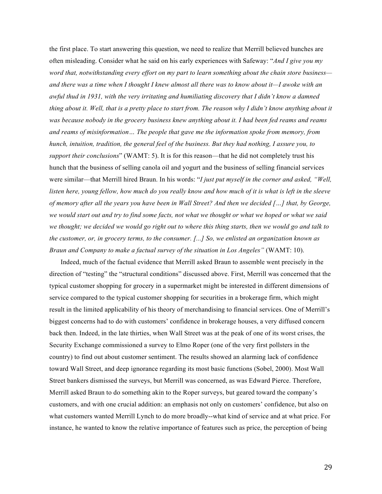the first place. To start answering this question, we need to realize that Merrill believed hunches are often misleading. Consider what he said on his early experiences with Safeway: "*And I give you my word that, notwithstanding every effort on my part to learn something about the chain store business and there was a time when I thought I knew almost all there was to know about it—I awoke with an awful thud in 1931, with the very irritating and humiliating discovery that I didn't know a damned thing about it. Well, that is a pretty place to start from. The reason why I didn't know anything about it was because nobody in the grocery business knew anything about it. I had been fed reams and reams and reams of misinformation… The people that gave me the information spoke from memory, from hunch, intuition, tradition, the general feel of the business. But they had nothing, I assure you, to support their conclusions*" (WAMT: 5). It is for this reason—that he did not completely trust his hunch that the business of selling canola oil and yogurt and the business of selling financial services were similar—that Merrill hired Braun. In his words: "*I just put myself in the corner and asked, "Well, listen here, young fellow, how much do you really know and how much of it is what is left in the sleeve of memory after all the years you have been in Wall Street? And then we decided […] that, by George, we would start out and try to find some facts, not what we thought or what we hoped or what we said we thought; we decided we would go right out to where this thing starts, then we would go and talk to the customer, or, in grocery terms, to the consumer. [...] So, we enlisted an organization known as Braun and Company to make a factual survey of the situation in Los Angeles"* (WAMT: 10).

Indeed, much of the factual evidence that Merrill asked Braun to assemble went precisely in the direction of "testing" the "structural conditions" discussed above. First, Merrill was concerned that the typical customer shopping for grocery in a supermarket might be interested in different dimensions of service compared to the typical customer shopping for securities in a brokerage firm, which might result in the limited applicability of his theory of merchandising to financial services. One of Merrill's biggest concerns had to do with customers' confidence in brokerage houses, a very diffused concern back then. Indeed, in the late thirties, when Wall Street was at the peak of one of its worst crises, the Security Exchange commissioned a survey to Elmo Roper (one of the very first pollsters in the country) to find out about customer sentiment. The results showed an alarming lack of confidence toward Wall Street, and deep ignorance regarding its most basic functions (Sobel, 2000). Most Wall Street bankers dismissed the surveys, but Merrill was concerned, as was Edward Pierce. Therefore, Merrill asked Braun to do something akin to the Roper surveys, but geared toward the company's customers, and with one crucial addition: an emphasis not only on customers' confidence, but also on what customers wanted Merrill Lynch to do more broadly--what kind of service and at what price. For instance, he wanted to know the relative importance of features such as price, the perception of being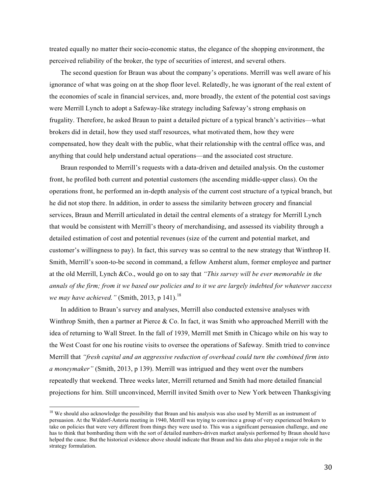treated equally no matter their socio-economic status, the elegance of the shopping environment, the perceived reliability of the broker, the type of securities of interest, and several others.

The second question for Braun was about the company's operations. Merrill was well aware of his ignorance of what was going on at the shop floor level. Relatedly, he was ignorant of the real extent of the economies of scale in financial services, and, more broadly, the extent of the potential cost savings were Merrill Lynch to adopt a Safeway-like strategy including Safeway's strong emphasis on frugality. Therefore, he asked Braun to paint a detailed picture of a typical branch's activities—what brokers did in detail, how they used staff resources, what motivated them, how they were compensated, how they dealt with the public, what their relationship with the central office was, and anything that could help understand actual operations—and the associated cost structure.

Braun responded to Merrill's requests with a data-driven and detailed analysis. On the customer front, he profiled both current and potential customers (the ascending middle-upper class). On the operations front, he performed an in-depth analysis of the current cost structure of a typical branch, but he did not stop there. In addition, in order to assess the similarity between grocery and financial services, Braun and Merrill articulated in detail the central elements of a strategy for Merrill Lynch that would be consistent with Merrill's theory of merchandising, and assessed its viability through a detailed estimation of cost and potential revenues (size of the current and potential market, and customer's willingness to pay). In fact, this survey was so central to the new strategy that Winthrop H. Smith, Merrill's soon-to-be second in command, a fellow Amherst alum, former employee and partner at the old Merrill, Lynch &Co., would go on to say that *"This survey will be ever memorable in the annals of the firm; from it we based our policies and to it we are largely indebted for whatever success we may have achieved.*" (Smith, 2013, p 141). $^{18}$ 

In addition to Braun's survey and analyses, Merrill also conducted extensive analyses with Winthrop Smith, then a partner at Pierce  $\&$  Co. In fact, it was Smith who approached Merrill with the idea of returning to Wall Street. In the fall of 1939, Merrill met Smith in Chicago while on his way to the West Coast for one his routine visits to oversee the operations of Safeway. Smith tried to convince Merrill that *"fresh capital and an aggressive reduction of overhead could turn the combined firm into a moneymaker"* (Smith, 2013, p 139). Merrill was intrigued and they went over the numbers repeatedly that weekend. Three weeks later, Merrill returned and Smith had more detailed financial projections for him. Still unconvinced, Merrill invited Smith over to New York between Thanksgiving

 $18$  We should also acknowledge the possibility that Braun and his analysis was also used by Merrill as an instrument of persuasion. At the Waldorf-Astoria meeting in 1940, Merrill was trying to convince a group of very experienced brokers to take on policies that were very different from things they were used to. This was a significant persuasion challenge, and one has to think that bombarding them with the sort of detailed numbers-driven market analysis performed by Braun should have helped the cause. But the historical evidence above should indicate that Braun and his data also played a major role in the strategy formulation.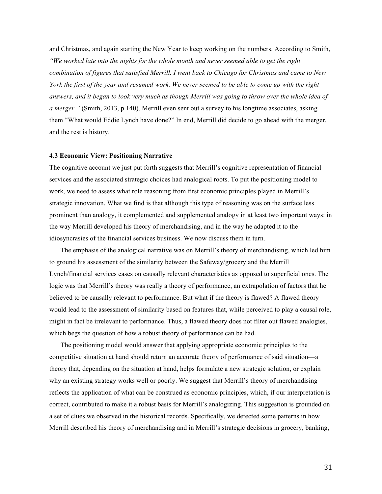and Christmas, and again starting the New Year to keep working on the numbers. According to Smith, *"We worked late into the nights for the whole month and never seemed able to get the right combination of figures that satisfied Merrill. I went back to Chicago for Christmas and came to New York the first of the year and resumed work. We never seemed to be able to come up with the right answers, and it began to look very much as though Merrill was going to throw over the whole idea of a merger."* (Smith, 2013, p 140). Merrill even sent out a survey to his longtime associates, asking them "What would Eddie Lynch have done?" In end, Merrill did decide to go ahead with the merger, and the rest is history.

## **4.3 Economic View: Positioning Narrative**

The cognitive account we just put forth suggests that Merrill's cognitive representation of financial services and the associated strategic choices had analogical roots. To put the positioning model to work, we need to assess what role reasoning from first economic principles played in Merrill's strategic innovation. What we find is that although this type of reasoning was on the surface less prominent than analogy, it complemented and supplemented analogy in at least two important ways: in the way Merrill developed his theory of merchandising, and in the way he adapted it to the idiosyncrasies of the financial services business. We now discuss them in turn.

The emphasis of the analogical narrative was on Merrill's theory of merchandising, which led him to ground his assessment of the similarity between the Safeway/grocery and the Merrill Lynch/financial services cases on causally relevant characteristics as opposed to superficial ones. The logic was that Merrill's theory was really a theory of performance, an extrapolation of factors that he believed to be causally relevant to performance. But what if the theory is flawed? A flawed theory would lead to the assessment of similarity based on features that, while perceived to play a causal role, might in fact be irrelevant to performance. Thus, a flawed theory does not filter out flawed analogies, which begs the question of how a robust theory of performance can be had.

The positioning model would answer that applying appropriate economic principles to the competitive situation at hand should return an accurate theory of performance of said situation—a theory that, depending on the situation at hand, helps formulate a new strategic solution, or explain why an existing strategy works well or poorly. We suggest that Merrill's theory of merchandising reflects the application of what can be construed as economic principles, which, if our interpretation is correct, contributed to make it a robust basis for Merrill's analogizing. This suggestion is grounded on a set of clues we observed in the historical records. Specifically, we detected some patterns in how Merrill described his theory of merchandising and in Merrill's strategic decisions in grocery, banking,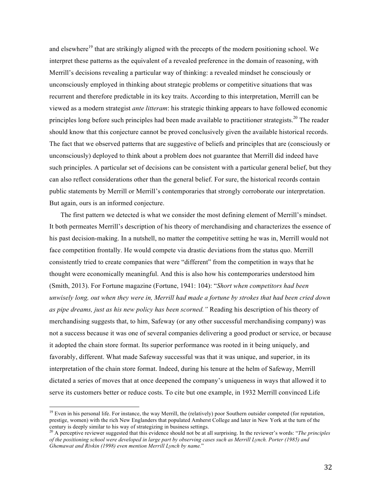and elsewhere<sup>19</sup> that are strikingly aligned with the precepts of the modern positioning school. We interpret these patterns as the equivalent of a revealed preference in the domain of reasoning, with Merrill's decisions revealing a particular way of thinking: a revealed mindset he consciously or unconsciously employed in thinking about strategic problems or competitive situations that was recurrent and therefore predictable in its key traits. According to this interpretation, Merrill can be viewed as a modern strategist *ante litteram*: his strategic thinking appears to have followed economic principles long before such principles had been made available to practitioner strategists.<sup>20</sup> The reader should know that this conjecture cannot be proved conclusively given the available historical records. The fact that we observed patterns that are suggestive of beliefs and principles that are (consciously or unconsciously) deployed to think about a problem does not guarantee that Merrill did indeed have such principles. A particular set of decisions can be consistent with a particular general belief, but they can also reflect considerations other than the general belief. For sure, the historical records contain public statements by Merrill or Merrill's contemporaries that strongly corroborate our interpretation. But again, ours is an informed conjecture.

The first pattern we detected is what we consider the most defining element of Merrill's mindset. It both permeates Merrill's description of his theory of merchandising and characterizes the essence of his past decision-making. In a nutshell, no matter the competitive setting he was in, Merrill would not face competition frontally. He would compete via drastic deviations from the status quo. Merrill consistently tried to create companies that were "different" from the competition in ways that he thought were economically meaningful. And this is also how his contemporaries understood him (Smith, 2013). For Fortune magazine (Fortune, 1941: 104): "*Short when competitors had been unwisely long, out when they were in, Merrill had made a fortune by strokes that had been cried down as pipe dreams, just as his new policy has been scorned."* Reading his description of his theory of merchandising suggests that, to him, Safeway (or any other successful merchandising company) was not a success because it was one of several companies delivering a good product or service, or because it adopted the chain store format. Its superior performance was rooted in it being uniquely, and favorably, different. What made Safeway successful was that it was unique, and superior, in its interpretation of the chain store format. Indeed, during his tenure at the helm of Safeway, Merrill dictated a series of moves that at once deepened the company's uniqueness in ways that allowed it to serve its customers better or reduce costs. To cite but one example, in 1932 Merrill convinced Life

<sup>&</sup>lt;sup>19</sup> Even in his personal life. For instance, the way Merrill, the (relatively) poor Southern outsider competed (for reputation, prestige, women) with the rich New Englanders that populated Amherst College and later in New York at the turn of the century is deeply similar to his way of strategizing in business settings.

<sup>&</sup>lt;sup>20</sup> A perceptive reviewer suggested that this evidence should not be at all surprising. In the reviewer's words: "*The principles of the positioning school were developed in large part by observing cases such as Merrill Lynch. Porter (1985) and Ghemawat and Rivkin (1998) even mention Merrill Lynch by name.*"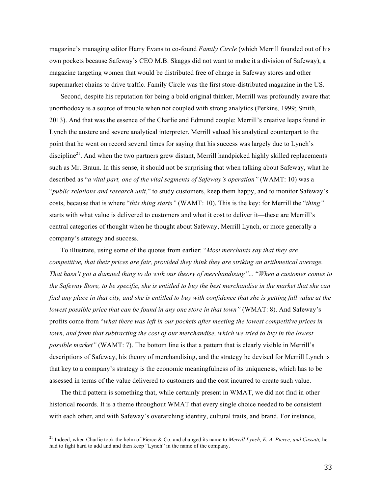magazine's managing editor Harry Evans to co-found *Family Circle* (which Merrill founded out of his own pockets because Safeway's CEO M.B. Skaggs did not want to make it a division of Safeway), a magazine targeting women that would be distributed free of charge in Safeway stores and other supermarket chains to drive traffic. Family Circle was the first store-distributed magazine in the US.

Second, despite his reputation for being a bold original thinker, Merrill was profoundly aware that unorthodoxy is a source of trouble when not coupled with strong analytics (Perkins, 1999; Smith, 2013). And that was the essence of the Charlie and Edmund couple: Merrill's creative leaps found in Lynch the austere and severe analytical interpreter. Merrill valued his analytical counterpart to the point that he went on record several times for saying that his success was largely due to Lynch's discipline<sup>21</sup>. And when the two partners grew distant, Merrill handpicked highly skilled replacements such as Mr. Braun. In this sense, it should not be surprising that when talking about Safeway, what he described as "*a vital part, one of the vital segments of Safeway's operation"* (WAMT: 10) was a "*public relations and research unit*," to study customers, keep them happy, and to monitor Safeway's costs, because that is where "*this thing starts"* (WAMT: 10). This is the key: for Merrill the "*thing"* starts with what value is delivered to customers and what it cost to deliver it—these are Merrill's central categories of thought when he thought about Safeway, Merrill Lynch, or more generally a company's strategy and success.

To illustrate, using some of the quotes from earlier: "*Most merchants say that they are competitive, that their prices are fair, provided they think they are striking an arithmetical average. That hasn't got a damned thing to do with our theory of merchandising"...* "*When a customer comes to the Safeway Store, to be specific, she is entitled to buy the best merchandise in the market that she can find any place in that city, and she is entitled to buy with confidence that she is getting full value at the lowest possible price that can be found in any one store in that town"* (WMAT: 8). And Safeway's profits come from "*what there was left in our pockets after meeting the lowest competitive prices in town, and from that subtracting the cost of our merchandise, which we tried to buy in the lowest possible market"* (WAMT: 7). The bottom line is that a pattern that is clearly visible in Merrill's descriptions of Safeway, his theory of merchandising, and the strategy he devised for Merrill Lynch is that key to a company's strategy is the economic meaningfulness of its uniqueness, which has to be assessed in terms of the value delivered to customers and the cost incurred to create such value.

The third pattern is something that, while certainly present in WMAT, we did not find in other historical records. It is a theme throughout WMAT that every single choice needed to be consistent with each other, and with Safeway's overarching identity, cultural traits, and brand. For instance,

 

<sup>21</sup> Indeed, when Charlie took the helm of Pierce & Co. and changed its name to *Merrill Lynch, E. A. Pierce, and Cassatt,* he had to fight hard to add and and then keep "Lynch" in the name of the company.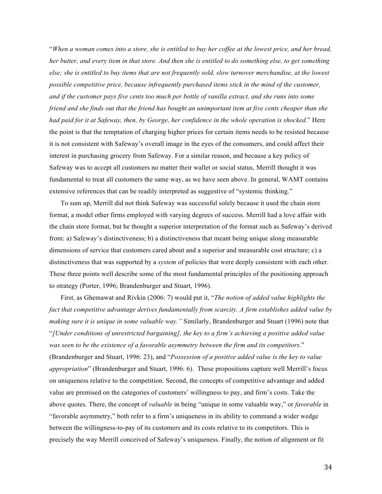"*When a woman comes into a store, she is entitled to buy her coffee at the lowest price, and her bread, her butter, and every item in that store. And then she is entitled to do something else, to get something else; she is entitled to buy items that are not frequently sold, slow turnover merchandise, at the lowest possible competitive price, because infrequently purchased items stick in the mind of the customer, and if the customer pays five cents too much per bottle of vanilla extract, and she runs into some friend and she finds out that the friend has bought an unimportant item at five cents cheaper than she had paid for it at Safeway, then, by George, her confidence in the whole operation is shocked*." Here the point is that the temptation of charging higher prices for certain items needs to be resisted because it is not consistent with Safeway's overall image in the eyes of the consumers, and could affect their interest in purchasing grocery from Safeway. For a similar reason, and because a key policy of Safeway was to accept all customers no matter their wallet or social status, Merrill thought it was fundamental to treat all customers the same way, as we have seen above. In general, WAMT contains extensive references that can be readily interpreted as suggestive of "systemic thinking."

To sum up, Merrill did not think Safeway was successful solely because it used the chain store format, a model other firms employed with varying degrees of success. Merrill had a love affair with the chain store format, but he thought a superior interpretation of the format such as Safeway's derived from: a) Safeway's distinctiveness; b) a distinctiveness that meant being unique along measurable dimensions of service that customers cared about and a superior and measurable cost structure; c) a distinctiveness that was supported by a *system* of policies that were deeply consistent with each other. These three points well describe some of the most fundamental principles of the positioning approach to strategy (Porter, 1996; Brandenburger and Stuart, 1996).

First, as Ghemawat and Rivkin (2006: 7) would put it, "*The notion of added value highlights the fact that competitive advantage derives fundamentally from scarcity. A firm establishes added value by making sure it is unique in some valuable way."* Similarly, Brandenburger and Stuart (1996) note that "*[Under conditions of unrestricted bargaining], the key to a firm's achieving a positive added value was seen to be the existence of a favorable asymmetry between the firm and its competitors*." (Brandenburger and Stuart, 1996: 23), and "*Possession of a positive added value is the key to value appropriation*" (Brandenburger and Stuart, 1996: 6). These propositions capture well Merrill's focus on uniqueness relative to the competition. Second, the concepts of competitive advantage and added value are premised on the categories of customers' willingness to pay, and firm's costs. Take the above quotes. There, the concept of *valuable* in being "unique in some valuable way," or *favorable* in "favorable asymmetry," both refer to a firm's uniqueness in its ability to command a wider wedge between the willingness-to-pay of its customers and its costs relative to its competitors. This is precisely the way Merrill conceived of Safeway's uniqueness. Finally, the notion of alignment or fit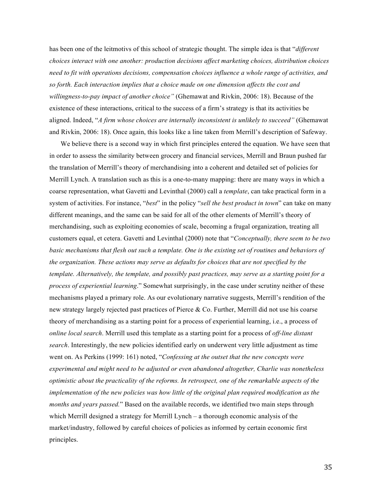has been one of the leitmotivs of this school of strategic thought. The simple idea is that "*different choices interact with one another: production decisions affect marketing choices, distribution choices need to fit with operations decisions, compensation choices influence a whole range of activities, and so forth. Each interaction implies that a choice made on one dimension affects the cost and willingness-to-pay impact of another choice"* (Ghemawat and Rivkin, 2006: 18). Because of the existence of these interactions, critical to the success of a firm's strategy is that its activities be aligned. Indeed, "*A firm whose choices are internally inconsistent is unlikely to succeed"* (Ghemawat and Rivkin, 2006: 18). Once again, this looks like a line taken from Merrill's description of Safeway.

We believe there is a second way in which first principles entered the equation. We have seen that in order to assess the similarity between grocery and financial services, Merrill and Braun pushed far the translation of Merrill's theory of merchandising into a coherent and detailed set of policies for Merrill Lynch. A translation such as this is a one-to-many mapping: there are many ways in which a coarse representation, what Gavetti and Levinthal (2000) call a *template*, can take practical form in a system of activities. For instance, "*best*" in the policy "*sell the best product in town*" can take on many different meanings, and the same can be said for all of the other elements of Merrill's theory of merchandising, such as exploiting economies of scale, becoming a frugal organization, treating all customers equal, et cetera. Gavetti and Levinthal (2000) note that "*Conceptually, there seem to be two basic mechanisms that flesh out such a template. One is the existing set of routines and behaviors of the organization. These actions may serve as defaults for choices that are not specified by the template. Alternatively, the template, and possibly past practices, may serve as a starting point for a process of experiential learning*." Somewhat surprisingly, in the case under scrutiny neither of these mechanisms played a primary role. As our evolutionary narrative suggests, Merrill's rendition of the new strategy largely rejected past practices of Pierce & Co. Further, Merrill did not use his coarse theory of merchandising as a starting point for a process of experiential learning, i.e., a process of *online local search*. Merrill used this template as a starting point for a process of *off-line distant search*. Interestingly, the new policies identified early on underwent very little adjustment as time went on. As Perkins (1999: 161) noted, "*Confessing at the outset that the new concepts were experimental and might need to be adjusted or even abandoned altogether, Charlie was nonetheless optimistic about the practicality of the reforms. In retrospect, one of the remarkable aspects of the implementation of the new policies was how little of the original plan required modification as the months and years passed.*" Based on the available records, we identified two main steps through which Merrill designed a strategy for Merrill Lynch – a thorough economic analysis of the market/industry, followed by careful choices of policies as informed by certain economic first principles.

35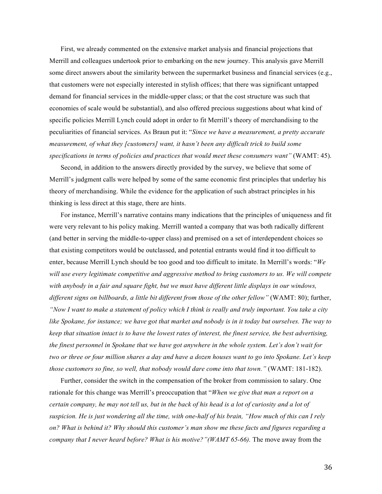First, we already commented on the extensive market analysis and financial projections that Merrill and colleagues undertook prior to embarking on the new journey. This analysis gave Merrill some direct answers about the similarity between the supermarket business and financial services (e.g., that customers were not especially interested in stylish offices; that there was significant untapped demand for financial services in the middle-upper class; or that the cost structure was such that economies of scale would be substantial), and also offered precious suggestions about what kind of specific policies Merrill Lynch could adopt in order to fit Merrill's theory of merchandising to the peculiarities of financial services. As Braun put it: "*Since we have a measurement, a pretty accurate measurement, of what they [customers] want, it hasn't been any difficult trick to build some specifications in terms of policies and practices that would meet these consumers want"* (WAMT: 45).

Second, in addition to the answers directly provided by the survey, we believe that some of Merrill's judgment calls were helped by some of the same economic first principles that underlay his theory of merchandising. While the evidence for the application of such abstract principles in his thinking is less direct at this stage, there are hints.

For instance, Merrill's narrative contains many indications that the principles of uniqueness and fit were very relevant to his policy making. Merrill wanted a company that was both radically different (and better in serving the middle-to-upper class) and premised on a set of interdependent choices so that existing competitors would be outclassed, and potential entrants would find it too difficult to enter, because Merrill Lynch should be too good and too difficult to imitate. In Merrill's words: "*We will use every legitimate competitive and aggressive method to bring customers to us. We will compete with anybody in a fair and square fight, but we must have different little displays in our windows, different signs on billboards, a little bit different from those of the other fellow"* (WAMT: 80); further,

*"Now I want to make a statement of policy which I think is really and truly important. You take a city like Spokane, for instance; we have got that market and nobody is in it today but ourselves. The way to keep that situation intact is to have the lowest rates of interest, the finest service, the best advertising, the finest personnel in Spokane that we have got anywhere in the whole system. Let's don't wait for two or three or four million shares a day and have a dozen houses want to go into Spokane. Let's keep those customers so fine, so well, that nobody would dare come into that town."* (WAMT: 181-182).

Further, consider the switch in the compensation of the broker from commission to salary. One rationale for this change was Merrill's preoccupation that "*When we give that man a report on a certain company, he may not tell us, but in the back of his head is a lot of curiosity and a lot of suspicion. He is just wondering all the time, with one-half of his brain, "How much of this can I rely on? What is behind it? Why should this customer's man show me these facts and figures regarding a company that I never heard before? What is his motive?"(WAMT 65-66).* The move away from the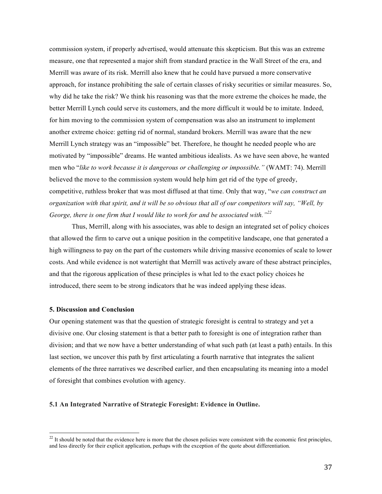commission system, if properly advertised, would attenuate this skepticism. But this was an extreme measure, one that represented a major shift from standard practice in the Wall Street of the era, and Merrill was aware of its risk. Merrill also knew that he could have pursued a more conservative approach, for instance prohibiting the sale of certain classes of risky securities or similar measures. So, why did he take the risk? We think his reasoning was that the more extreme the choices he made, the better Merrill Lynch could serve its customers, and the more difficult it would be to imitate. Indeed, for him moving to the commission system of compensation was also an instrument to implement another extreme choice: getting rid of normal, standard brokers. Merrill was aware that the new Merrill Lynch strategy was an "impossible" bet. Therefore, he thought he needed people who are motivated by "impossible" dreams. He wanted ambitious idealists. As we have seen above, he wanted men who "*like to work because it is dangerous or challenging or impossible."* (WAMT: 74). Merrill believed the move to the commission system would help him get rid of the type of greedy, competitive, ruthless broker that was most diffused at that time. Only that way, "*we can construct an organization with that spirit, and it will be so obvious that all of our competitors will say, "Well, by George, there is one firm that I would like to work for and be associated with."<sup>22</sup>*

Thus, Merrill, along with his associates, was able to design an integrated set of policy choices that allowed the firm to carve out a unique position in the competitive landscape, one that generated a high willingness to pay on the part of the customers while driving massive economies of scale to lower costs. And while evidence is not watertight that Merrill was actively aware of these abstract principles, and that the rigorous application of these principles is what led to the exact policy choices he introduced, there seem to be strong indicators that he was indeed applying these ideas.

# **5. Discussion and Conclusion**

 

Our opening statement was that the question of strategic foresight is central to strategy and yet a divisive one. Our closing statement is that a better path to foresight is one of integration rather than division; and that we now have a better understanding of what such path (at least a path) entails. In this last section, we uncover this path by first articulating a fourth narrative that integrates the salient elements of the three narratives we described earlier, and then encapsulating its meaning into a model of foresight that combines evolution with agency.

# **5.1 An Integrated Narrative of Strategic Foresight: Evidence in Outline.**

 $^{22}$  It should be noted that the evidence here is more that the chosen policies were consistent with the economic first principles, and less directly for their explicit application, perhaps with the exception of the quote about differentiation.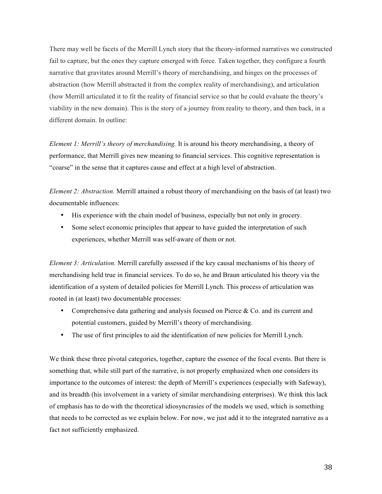There may well be facets of the Merrill Lynch story that the theory-informed narratives we constructed fail to capture, but the ones they capture emerged with force. Taken together, they configure a fourth narrative that gravitates around Merrill's theory of merchandising, and hinges on the processes of abstraction (how Merrill abstracted it from the complex reality of merchandising), and articulation (how Merrill articulated it to fit the reality of financial service so that he could evaluate the theory's viability in the new domain). This is the story of a journey from reality to theory, and then back, in a different domain. In outline:

*Element 1: Merrill's theory of merchandising.* It is around his theory merchandising, a theory of performance, that Merrill gives new meaning to financial services. This cognitive representation is "coarse" in the sense that it captures cause and effect at a high level of abstraction.

*Element 2: Abstraction.* Merrill attained a robust theory of merchandising on the basis of (at least) two documentable influences:

- His experience with the chain model of business, especially but not only in grocery.
- Some select economic principles that appear to have guided the interpretation of such experiences, whether Merrill was self-aware of them or not.

*Element 3: Articulation.* Merrill carefully assessed if the key causal mechanisms of his theory of merchandising held true in financial services. To do so, he and Braun articulated his theory via the identification of a system of detailed policies for Merrill Lynch. This process of articulation was rooted in (at least) two documentable processes:

- Comprehensive data gathering and analysis focused on Pierce & Co. and its current and potential customers, guided by Merrill's theory of merchandising.
- The use of first principles to aid the identification of new policies for Merrill Lynch.

We think these three pivotal categories, together, capture the essence of the focal events. But there is something that, while still part of the narrative, is not properly emphasized when one considers its importance to the outcomes of interest: the depth of Merrill's experiences (especially with Safeway), and its breadth (his involvement in a variety of similar merchandising enterprises). We think this lack of emphasis has to do with the theoretical idiosyncrasies of the models we used, which is something that needs to be corrected as we explain below. For now, we just add it to the integrated narrative as a fact not sufficiently emphasized.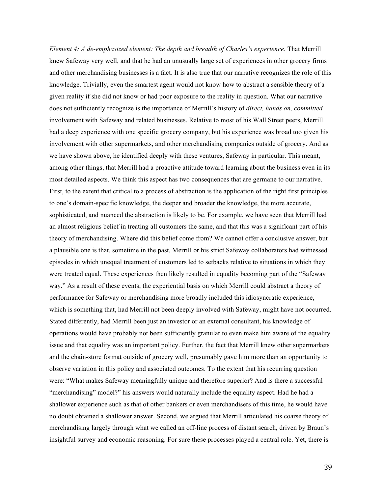*Element 4: A de-emphasized element: The depth and breadth of Charles's experience.* That Merrill knew Safeway very well, and that he had an unusually large set of experiences in other grocery firms and other merchandising businesses is a fact. It is also true that our narrative recognizes the role of this knowledge. Trivially, even the smartest agent would not know how to abstract a sensible theory of a given reality if she did not know or had poor exposure to the reality in question. What our narrative does not sufficiently recognize is the importance of Merrill's history of *direct, hands on, committed*  involvement with Safeway and related businesses. Relative to most of his Wall Street peers, Merrill had a deep experience with one specific grocery company, but his experience was broad too given his involvement with other supermarkets, and other merchandising companies outside of grocery. And as we have shown above, he identified deeply with these ventures, Safeway in particular. This meant, among other things, that Merrill had a proactive attitude toward learning about the business even in its most detailed aspects. We think this aspect has two consequences that are germane to our narrative. First, to the extent that critical to a process of abstraction is the application of the right first principles to one's domain-specific knowledge, the deeper and broader the knowledge, the more accurate, sophisticated, and nuanced the abstraction is likely to be. For example, we have seen that Merrill had an almost religious belief in treating all customers the same, and that this was a significant part of his theory of merchandising. Where did this belief come from? We cannot offer a conclusive answer, but a plausible one is that, sometime in the past, Merrill or his strict Safeway collaborators had witnessed episodes in which unequal treatment of customers led to setbacks relative to situations in which they were treated equal. These experiences then likely resulted in equality becoming part of the "Safeway way." As a result of these events, the experiential basis on which Merrill could abstract a theory of performance for Safeway or merchandising more broadly included this idiosyncratic experience, which is something that, had Merrill not been deeply involved with Safeway, might have not occurred. Stated differently, had Merrill been just an investor or an external consultant, his knowledge of operations would have probably not been sufficiently granular to even make him aware of the equality issue and that equality was an important policy. Further, the fact that Merrill knew other supermarkets and the chain-store format outside of grocery well, presumably gave him more than an opportunity to observe variation in this policy and associated outcomes. To the extent that his recurring question were: "What makes Safeway meaningfully unique and therefore superior? And is there a successful "merchandising" model?" his answers would naturally include the equality aspect. Had he had a shallower experience such as that of other bankers or even merchandisers of this time, he would have no doubt obtained a shallower answer. Second, we argued that Merrill articulated his coarse theory of merchandising largely through what we called an off-line process of distant search, driven by Braun's insightful survey and economic reasoning. For sure these processes played a central role. Yet, there is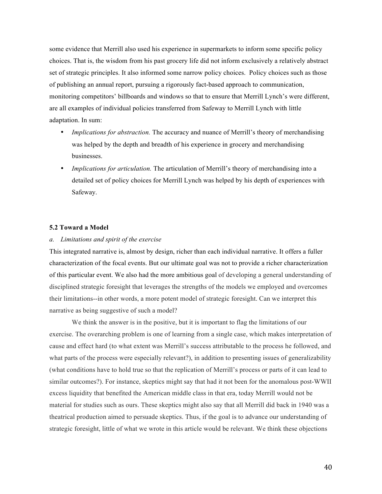some evidence that Merrill also used his experience in supermarkets to inform some specific policy choices. That is, the wisdom from his past grocery life did not inform exclusively a relatively abstract set of strategic principles. It also informed some narrow policy choices. Policy choices such as those of publishing an annual report, pursuing a rigorously fact-based approach to communication, monitoring competitors' billboards and windows so that to ensure that Merrill Lynch's were different, are all examples of individual policies transferred from Safeway to Merrill Lynch with little adaptation. In sum:

- *Implications for abstraction*. The accuracy and nuance of Merrill's theory of merchandising was helped by the depth and breadth of his experience in grocery and merchandising businesses.
- *Implications for articulation.* The articulation of Merrill's theory of merchandising into a detailed set of policy choices for Merrill Lynch was helped by his depth of experiences with Safeway.

### **5.2 Toward a Model**

#### *a. Limitations and spirit of the exercise*

This integrated narrative is, almost by design, richer than each individual narrative. It offers a fuller characterization of the focal events. But our ultimate goal was not to provide a richer characterization of this particular event. We also had the more ambitious goal of developing a general understanding of disciplined strategic foresight that leverages the strengths of the models we employed and overcomes their limitations--in other words, a more potent model of strategic foresight. Can we interpret this narrative as being suggestive of such a model?

We think the answer is in the positive, but it is important to flag the limitations of our exercise. The overarching problem is one of learning from a single case, which makes interpretation of cause and effect hard (to what extent was Merrill's success attributable to the process he followed, and what parts of the process were especially relevant?), in addition to presenting issues of generalizability (what conditions have to hold true so that the replication of Merrill's process or parts of it can lead to similar outcomes?). For instance, skeptics might say that had it not been for the anomalous post-WWII excess liquidity that benefited the American middle class in that era, today Merrill would not be material for studies such as ours. These skeptics might also say that all Merrill did back in 1940 was a theatrical production aimed to persuade skeptics. Thus, if the goal is to advance our understanding of strategic foresight, little of what we wrote in this article would be relevant. We think these objections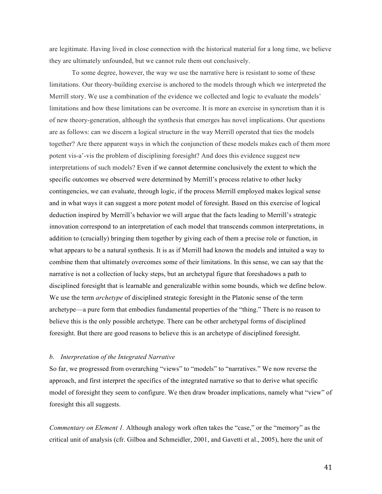are legitimate. Having lived in close connection with the historical material for a long time, we believe they are ultimately unfounded, but we cannot rule them out conclusively.

To some degree, however, the way we use the narrative here is resistant to some of these limitations. Our theory-building exercise is anchored to the models through which we interpreted the Merrill story. We use a combination of the evidence we collected and logic to evaluate the models' limitations and how these limitations can be overcome. It is more an exercise in syncretism than it is of new theory-generation, although the synthesis that emerges has novel implications. Our questions are as follows: can we discern a logical structure in the way Merrill operated that ties the models together? Are there apparent ways in which the conjunction of these models makes each of them more potent vis-a'-vis the problem of disciplining foresight? And does this evidence suggest new interpretations of such models? Even if we cannot determine conclusively the extent to which the specific outcomes we observed were determined by Merrill's process relative to other lucky contingencies, we can evaluate, through logic, if the process Merrill employed makes logical sense and in what ways it can suggest a more potent model of foresight. Based on this exercise of logical deduction inspired by Merrill's behavior we will argue that the facts leading to Merrill's strategic innovation correspond to an interpretation of each model that transcends common interpretations, in addition to (crucially) bringing them together by giving each of them a precise role or function, in what appears to be a natural synthesis. It is as if Merrill had known the models and intuited a way to combine them that ultimately overcomes some of their limitations. In this sense, we can say that the narrative is not a collection of lucky steps, but an archetypal figure that foreshadows a path to disciplined foresight that is learnable and generalizable within some bounds, which we define below. We use the term *archetype* of disciplined strategic foresight in the Platonic sense of the term archetype—a pure form that embodies fundamental properties of the "thing." There is no reason to believe this is the only possible archetype. There can be other archetypal forms of disciplined foresight. But there are good reasons to believe this is an archetype of disciplined foresight.

# *b. Interpretation of the Integrated Narrative*

So far, we progressed from overarching "views" to "models" to "narratives." We now reverse the approach, and first interpret the specifics of the integrated narrative so that to derive what specific model of foresight they seem to configure. We then draw broader implications, namely what "view" of foresight this all suggests.

*Commentary on Element 1.* Although analogy work often takes the "case," or the "memory" as the critical unit of analysis (cfr. Gilboa and Schmeidler, 2001, and Gavetti et al., 2005), here the unit of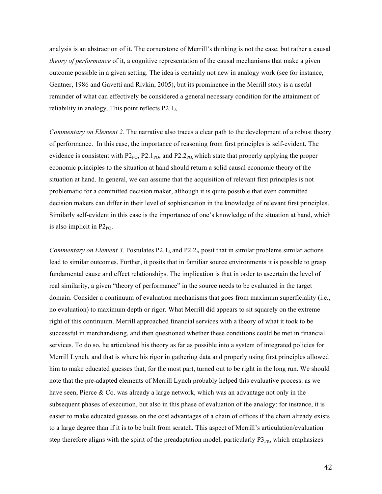analysis is an abstraction of it. The cornerstone of Merrill's thinking is not the case, but rather a causal *theory of performance* of it, a cognitive representation of the causal mechanisms that make a given outcome possible in a given setting. The idea is certainly not new in analogy work (see for instance, Gentner, 1986 and Gavetti and Rivkin, 2005), but its prominence in the Merrill story is a useful reminder of what can effectively be considered a general necessary condition for the attainment of reliability in analogy. This point reflects  $P2.1_A$ .

*Commentary on Element 2.* The narrative also traces a clear path to the development of a robust theory of performance. In this case, the importance of reasoning from first principles is self-evident. The evidence is consistent with  $P2_{PQ}$ ,  $P2.1_{PQ}$ , and  $P2.2_{PQ}$ , which state that properly applying the proper economic principles to the situation at hand should return a solid causal economic theory of the situation at hand. In general, we can assume that the acquisition of relevant first principles is not problematic for a committed decision maker, although it is quite possible that even committed decision makers can differ in their level of sophistication in the knowledge of relevant first principles. Similarly self-evident in this case is the importance of one's knowledge of the situation at hand, which is also implicit in  $P2_{PO}$ .

*Commentary on Element 3.* Postulates  $P2.1_A$  and  $P2.2_A$  posit that in similar problems similar actions lead to similar outcomes. Further, it posits that in familiar source environments it is possible to grasp fundamental cause and effect relationships. The implication is that in order to ascertain the level of real similarity, a given "theory of performance" in the source needs to be evaluated in the target domain. Consider a continuum of evaluation mechanisms that goes from maximum superficiality (i.e., no evaluation) to maximum depth or rigor. What Merrill did appears to sit squarely on the extreme right of this continuum. Merrill approached financial services with a theory of what it took to be successful in merchandising, and then questioned whether these conditions could be met in financial services. To do so, he articulated his theory as far as possible into a system of integrated policies for Merrill Lynch, and that is where his rigor in gathering data and properly using first principles allowed him to make educated guesses that, for the most part, turned out to be right in the long run. We should note that the pre-adapted elements of Merrill Lynch probably helped this evaluative process: as we have seen, Pierce & Co. was already a large network, which was an advantage not only in the subsequent phases of execution, but also in this phase of evaluation of the analogy: for instance, it is easier to make educated guesses on the cost advantages of a chain of offices if the chain already exists to a large degree than if it is to be built from scratch. This aspect of Merrill's articulation/evaluation step therefore aligns with the spirit of the preadaptation model, particularly  $P_1P_R$ , which emphasizes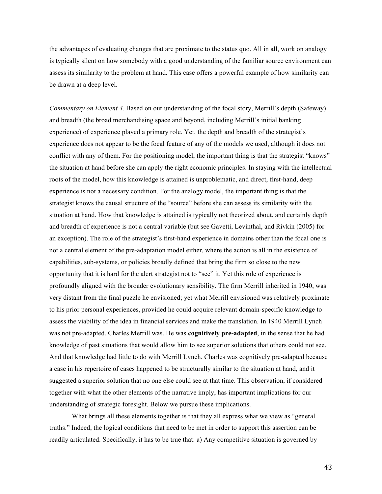the advantages of evaluating changes that are proximate to the status quo. All in all, work on analogy is typically silent on how somebody with a good understanding of the familiar source environment can assess its similarity to the problem at hand. This case offers a powerful example of how similarity can be drawn at a deep level.

*Commentary on Element 4.* Based on our understanding of the focal story, Merrill's depth (Safeway) and breadth (the broad merchandising space and beyond, including Merrill's initial banking experience) of experience played a primary role. Yet, the depth and breadth of the strategist's experience does not appear to be the focal feature of any of the models we used, although it does not conflict with any of them. For the positioning model, the important thing is that the strategist "knows" the situation at hand before she can apply the right economic principles. In staying with the intellectual roots of the model, how this knowledge is attained is unproblematic, and direct, first-hand, deep experience is not a necessary condition. For the analogy model, the important thing is that the strategist knows the causal structure of the "source" before she can assess its similarity with the situation at hand. How that knowledge is attained is typically not theorized about, and certainly depth and breadth of experience is not a central variable (but see Gavetti, Levinthal, and Rivkin (2005) for an exception). The role of the strategist's first-hand experience in domains other than the focal one is not a central element of the pre-adaptation model either, where the action is all in the existence of capabilities, sub-systems, or policies broadly defined that bring the firm so close to the new opportunity that it is hard for the alert strategist not to "see" it. Yet this role of experience is profoundly aligned with the broader evolutionary sensibility. The firm Merrill inherited in 1940, was very distant from the final puzzle he envisioned; yet what Merrill envisioned was relatively proximate to his prior personal experiences, provided he could acquire relevant domain-specific knowledge to assess the viability of the idea in financial services and make the translation. In 1940 Merrill Lynch was not pre-adapted. Charles Merrill was. He was **cognitively pre-adapted**, in the sense that he had knowledge of past situations that would allow him to see superior solutions that others could not see. And that knowledge had little to do with Merrill Lynch. Charles was cognitively pre-adapted because a case in his repertoire of cases happened to be structurally similar to the situation at hand, and it suggested a superior solution that no one else could see at that time. This observation, if considered together with what the other elements of the narrative imply, has important implications for our understanding of strategic foresight. Below we pursue these implications.

What brings all these elements together is that they all express what we view as "general truths." Indeed, the logical conditions that need to be met in order to support this assertion can be readily articulated. Specifically, it has to be true that: a) Any competitive situation is governed by

43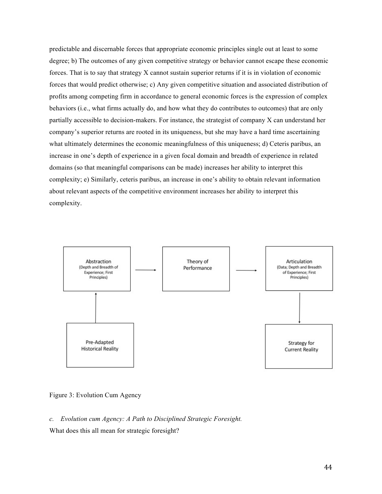predictable and discernable forces that appropriate economic principles single out at least to some degree; b) The outcomes of any given competitive strategy or behavior cannot escape these economic forces. That is to say that strategy X cannot sustain superior returns if it is in violation of economic forces that would predict otherwise; c) Any given competitive situation and associated distribution of profits among competing firm in accordance to general economic forces is the expression of complex behaviors (i.e., what firms actually do, and how what they do contributes to outcomes) that are only partially accessible to decision-makers. For instance, the strategist of company X can understand her company's superior returns are rooted in its uniqueness, but she may have a hard time ascertaining what ultimately determines the economic meaningfulness of this uniqueness; d) Ceteris paribus, an increase in one's depth of experience in a given focal domain and breadth of experience in related domains (so that meaningful comparisons can be made) increases her ability to interpret this complexity; e) Similarly, ceteris paribus, an increase in one's ability to obtain relevant information about relevant aspects of the competitive environment increases her ability to interpret this complexity.



# Figure 3: Evolution Cum Agency

# *c. Evolution cum Agency: A Path to Disciplined Strategic Foresight.*

What does this all mean for strategic foresight?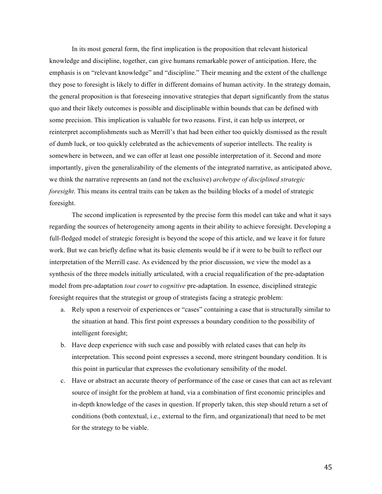In its most general form, the first implication is the proposition that relevant historical knowledge and discipline, together, can give humans remarkable power of anticipation. Here, the emphasis is on "relevant knowledge" and "discipline." Their meaning and the extent of the challenge they pose to foresight is likely to differ in different domains of human activity. In the strategy domain, the general proposition is that foreseeing innovative strategies that depart significantly from the status quo and their likely outcomes is possible and disciplinable within bounds that can be defined with some precision. This implication is valuable for two reasons. First, it can help us interpret, or reinterpret accomplishments such as Merrill's that had been either too quickly dismissed as the result of dumb luck, or too quickly celebrated as the achievements of superior intellects. The reality is somewhere in between, and we can offer at least one possible interpretation of it. Second and more importantly, given the generalizability of the elements of the integrated narrative, as anticipated above, we think the narrative represents an (and not the exclusive) *archetype of disciplined strategic foresight*. This means its central traits can be taken as the building blocks of a model of strategic foresight.

The second implication is represented by the precise form this model can take and what it says regarding the sources of heterogeneity among agents in their ability to achieve foresight. Developing a full-fledged model of strategic foresight is beyond the scope of this article, and we leave it for future work. But we can briefly define what its basic elements would be if it were to be built to reflect our interpretation of the Merrill case. As evidenced by the prior discussion, we view the model as a synthesis of the three models initially articulated, with a crucial requalification of the pre-adaptation model from pre-adaptation *tout court* to *cognitive* pre-adaptation. In essence, disciplined strategic foresight requires that the strategist or group of strategists facing a strategic problem:

- a. Rely upon a reservoir of experiences or "cases" containing a case that is structurally similar to the situation at hand. This first point expresses a boundary condition to the possibility of intelligent foresight;
- b. Have deep experience with such case and possibly with related cases that can help its interpretation. This second point expresses a second, more stringent boundary condition. It is this point in particular that expresses the evolutionary sensibility of the model.
- c. Have or abstract an accurate theory of performance of the case or cases that can act as relevant source of insight for the problem at hand, via a combination of first economic principles and in-depth knowledge of the cases in question. If properly taken, this step should return a set of conditions (both contextual, i.e., external to the firm, and organizational) that need to be met for the strategy to be viable.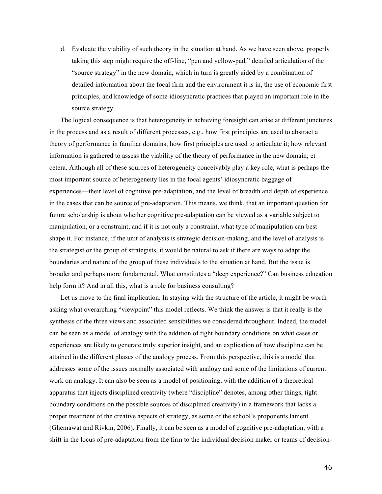d. Evaluate the viability of such theory in the situation at hand. As we have seen above, properly taking this step might require the off-line, "pen and yellow-pad," detailed articulation of the "source strategy" in the new domain, which in turn is greatly aided by a combination of detailed information about the focal firm and the environment it is in, the use of economic first principles, and knowledge of some idiosyncratic practices that played an important role in the source strategy.

The logical consequence is that heterogeneity in achieving foresight can arise at different junctures in the process and as a result of different processes, e.g., how first principles are used to abstract a theory of performance in familiar domains; how first principles are used to articulate it; how relevant information is gathered to assess the viability of the theory of performance in the new domain; et cetera. Although all of these sources of heterogeneity conceivably play a key role, what is perhaps the most important source of heterogeneity lies in the focal agents' idiosyncratic baggage of experiences—their level of cognitive pre-adaptation, and the level of breadth and depth of experience in the cases that can be source of pre-adaptation. This means, we think, that an important question for future scholarship is about whether cognitive pre-adaptation can be viewed as a variable subject to manipulation, or a constraint; and if it is not only a constraint, what type of manipulation can best shape it. For instance, if the unit of analysis is strategic decision-making, and the level of analysis is the strategist or the group of strategists, it would be natural to ask if there are ways to adapt the boundaries and nature of the group of these individuals to the situation at hand. But the issue is broader and perhaps more fundamental. What constitutes a "deep experience?" Can business education help form it? And in all this, what is a role for business consulting?

Let us move to the final implication. In staying with the structure of the article, it might be worth asking what overarching "viewpoint" this model reflects. We think the answer is that it really is the synthesis of the three views and associated sensibilities we considered throughout. Indeed, the model can be seen as a model of analogy with the addition of tight boundary conditions on what cases or experiences are likely to generate truly superior insight, and an explication of how discipline can be attained in the different phases of the analogy process. From this perspective, this is a model that addresses some of the issues normally associated with analogy and some of the limitations of current work on analogy. It can also be seen as a model of positioning, with the addition of a theoretical apparatus that injects disciplined creativity (where "discipline" denotes, among other things, tight boundary conditions on the possible sources of disciplined creativity) in a framework that lacks a proper treatment of the creative aspects of strategy, as some of the school's proponents lament (Ghemawat and Rivkin, 2006). Finally, it can be seen as a model of cognitive pre-adaptation, with a shift in the locus of pre-adaptation from the firm to the individual decision maker or teams of decision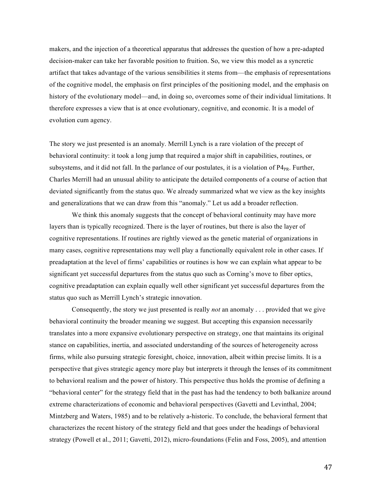makers, and the injection of a theoretical apparatus that addresses the question of how a pre-adapted decision-maker can take her favorable position to fruition. So, we view this model as a syncretic artifact that takes advantage of the various sensibilities it stems from—the emphasis of representations of the cognitive model, the emphasis on first principles of the positioning model, and the emphasis on history of the evolutionary model—and, in doing so, overcomes some of their individual limitations. It therefore expresses a view that is at once evolutionary, cognitive, and economic. It is a model of evolution cum agency.

The story we just presented is an anomaly. Merrill Lynch is a rare violation of the precept of behavioral continuity: it took a long jump that required a major shift in capabilities, routines, or subsystems, and it did not fall. In the parlance of our postulates, it is a violation of  $P4_{PR}$ . Further, Charles Merrill had an unusual ability to anticipate the detailed components of a course of action that deviated significantly from the status quo. We already summarized what we view as the key insights and generalizations that we can draw from this "anomaly." Let us add a broader reflection.

We think this anomaly suggests that the concept of behavioral continuity may have more layers than is typically recognized. There is the layer of routines, but there is also the layer of cognitive representations. If routines are rightly viewed as the genetic material of organizations in many cases, cognitive representations may well play a functionally equivalent role in other cases. If preadaptation at the level of firms' capabilities or routines is how we can explain what appear to be significant yet successful departures from the status quo such as Corning's move to fiber optics, cognitive preadaptation can explain equally well other significant yet successful departures from the status quo such as Merrill Lynch's strategic innovation.

Consequently, the story we just presented is really *not* an anomaly . . . provided that we give behavioral continuity the broader meaning we suggest. But accepting this expansion necessarily translates into a more expansive evolutionary perspective on strategy, one that maintains its original stance on capabilities, inertia, and associated understanding of the sources of heterogeneity across firms, while also pursuing strategic foresight, choice, innovation, albeit within precise limits. It is a perspective that gives strategic agency more play but interprets it through the lenses of its commitment to behavioral realism and the power of history. This perspective thus holds the promise of defining a "behavioral center" for the strategy field that in the past has had the tendency to both balkanize around extreme characterizations of economic and behavioral perspectives (Gavetti and Levinthal, 2004; Mintzberg and Waters, 1985) and to be relatively a-historic. To conclude, the behavioral ferment that characterizes the recent history of the strategy field and that goes under the headings of behavioral strategy (Powell et al., 2011; Gavetti, 2012), micro-foundations (Felin and Foss, 2005), and attention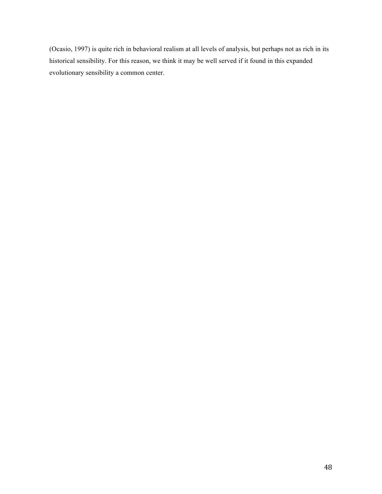(Ocasio, 1997) is quite rich in behavioral realism at all levels of analysis, but perhaps not as rich in its historical sensibility. For this reason, we think it may be well served if it found in this expanded evolutionary sensibility a common center.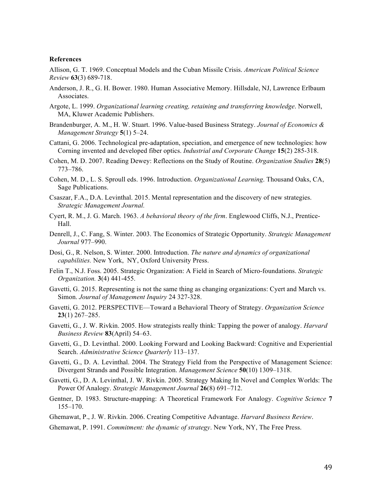# **References**

Allison, G. T. 1969. Conceptual Models and the Cuban Missile Crisis. *American Political Science Review* **63**(3) 689-718.

- Anderson, J. R., G. H. Bower. 1980. Human Associative Memory. Hillsdale, NJ, Lawrence Erlbaum Associates.
- Argote, L. 1999. *Organizational learning creating, retaining and transferring knowledge*. Norwell, MA, Kluwer Academic Publishers.
- Brandenburger, A. M., H. W. Stuart. 1996. Value-based Business Strategy. *Journal of Economics & Management Strategy* **5**(1) 5–24.
- Cattani, G. 2006. Technological pre-adaptation, speciation, and emergence of new technologies: how Corning invented and developed fiber optics. *Industrial and Corporate Change* **15**(2) 285-318.
- Cohen, M. D. 2007. Reading Dewey: Reflections on the Study of Routine. *Organization Studies* **28**(5) 773–786.
- Cohen, M. D., L. S. Sproull eds. 1996. Introduction. *Organizational Learning*. Thousand Oaks, CA, Sage Publications.
- Csaszar, F.A., D.A. Levinthal. 2015. Mental representation and the discovery of new strategies. *Strategic Management Journal.*
- Cyert, R. M., J. G. March. 1963. *A behavioral theory of the firm*. Englewood Cliffs, N.J., Prentice-Hall.
- Denrell, J., C. Fang, S. Winter. 2003. The Economics of Strategic Opportunity. *Strategic Management Journal* 977–990.
- Dosi, G., R. Nelson, S. Winter. 2000. Introduction. *The nature and dynamics of organizational capabilities.* New York, NY, Oxford University Press.
- Felin T., N.J. Foss. 2005. Strategic Organization: A Field in Search of Micro-foundations. *Strategic Organization.* **3**(4) 441-455.
- Gavetti, G. 2015. Representing is not the same thing as changing organizations: Cyert and March vs. Simon. *Journal of Management Inquiry* 24 327-328.
- Gavetti, G. 2012. PERSPECTIVE—Toward a Behavioral Theory of Strategy. *Organization Science* **23**(1) 267–285.
- Gavetti, G., J. W. Rivkin. 2005. How strategists really think: Tapping the power of analogy. *Harvard Business Review* **83**(April) 54–63.
- Gavetti, G., D. Levinthal. 2000. Looking Forward and Looking Backward: Cognitive and Experiential Search. *Administrative Science Quarterly* 113–137.
- Gavetti, G., D. A. Levinthal. 2004. The Strategy Field from the Perspective of Management Science: Divergent Strands and Possible Integration. *Management Science* **50**(10) 1309–1318.
- Gavetti, G., D. A. Levinthal, J. W. Rivkin. 2005. Strategy Making In Novel and Complex Worlds: The Power Of Analogy. *Strategic Management Journal* **26**(8) 691–712.
- Gentner, D. 1983. Structure-mapping: A Theoretical Framework For Analogy. *Cognitive Science* **7** 155–170.

Ghemawat, P., J. W. Rivkin. 2006. Creating Competitive Advantage. *Harvard Business Review*.

Ghemawat, P. 1991. *Commitment: the dynamic of strategy*. New York, NY, The Free Press.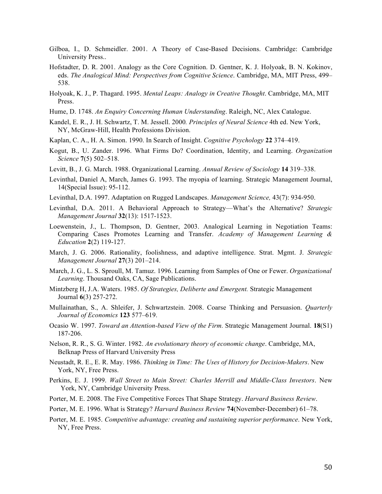- Gilboa, I., D. Schmeidler. 2001. A Theory of Case-Based Decisions. Cambridge: Cambridge University Press..
- Hofstadter, D. R. 2001. Analogy as the Core Cognition. D. Gentner, K. J. Holyoak, B. N. Kokinov, eds. *The Analogical Mind: Perspectives from Cognitive Science*. Cambridge, MA, MIT Press, 499– 538.
- Holyoak, K. J., P. Thagard. 1995. *Mental Leaps: Analogy in Creative Thought*. Cambridge, MA, MIT Press.
- Hume, D. 1748. *An Enquiry Concerning Human Understanding*. Raleigh, NC, Alex Catalogue.
- Kandel, E. R., J. H. Schwartz, T. M. Jessell. 2000*. Principles of Neural Science* 4th ed. New York, NY, McGraw-Hill, Health Professions Division.
- Kaplan, C. A., H. A. Simon. 1990. In Search of Insight. *Cognitive Psychology* **22** 374–419.
- Kogut, B., U. Zander. 1996. What Firms Do? Coordination, Identity, and Learning. *Organization Science* **7**(5) 502–518.
- Levitt, B., J. G. March. 1988. Organizational Learning. *Annual Review of Sociology* **14** 319–338.
- Levinthal, Daniel A, March, James G. 1993. The myopia of learning. Strategic Management Journal, 14(Special Issue): 95-112.
- Levinthal, D.A. 1997. Adaptation on Rugged Landscapes. *Management Science,* 43(7): 934-950.
- Levinthal, D.A. 2011. A Behavioral Approach to Strategy—What's the Alternative? *Strategic Management Journal* **32**(13): 1517-1523.
- Loewenstein, J., L. Thompson, D. Gentner, 2003. Analogical Learning in Negotiation Teams: Comparing Cases Promotes Learning and Transfer. *Academy of Management Learning & Education* **2**(2) 119-127.
- March, J. G. 2006. Rationality, foolishness, and adaptive intelligence. Strat. Mgmt. J. *Strategic Management Journal* **27**(3) 201–214.
- March, J. G., L. S. Sproull, M. Tamuz. 1996. Learning from Samples of One or Fewer. *Organizational Learning*. Thousand Oaks, CA, Sage Publications.
- Mintzberg H, J.A. Waters. 1985. *Of Strategies, Deliberte and Emergent.* Strategic Management Journal **6**(3) 257-272.
- Mullainathan, S., A. Shleifer, J. Schwartzstein. 2008. Coarse Thinking and Persuasion. *Quarterly Journal of Economics* **123** 577–619.
- Ocasio W. 1997. *Toward an Attention-based View of the Firm.* Strategic Management Journal. **18**(S1) 187-206.
- Nelson, R. R., S. G. Winter. 1982. *An evolutionary theory of economic change*. Cambridge, MA, Belknap Press of Harvard University Press
- Neustadt, R. E., E. R. May. 1986. *Thinking in Time: The Uses of History for Decision-Makers*. New York, NY, Free Press.
- Perkins, E. J. 1999. *Wall Street to Main Street: Charles Merrill and Middle-Class Investors*. New York, NY, Cambridge University Press.
- Porter, M. E. 2008. The Five Competitive Forces That Shape Strategy. *Harvard Business Review*.
- Porter, M. E. 1996. What is Strategy? *Harvard Business Review* **74**(November-December) 61–78.
- Porter, M. E. 1985. *Competitive advantage: creating and sustaining superior performance*. New York, NY, Free Press.